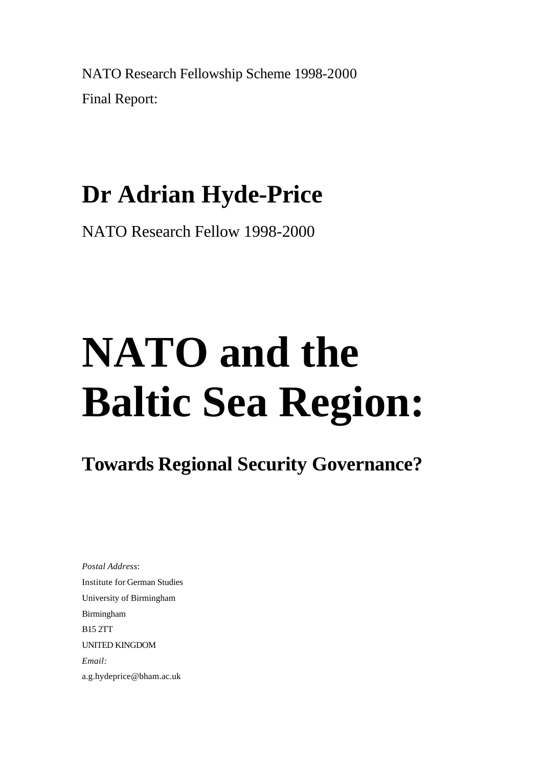NATO Research Fellowship Scheme 1998-2000 Final Report:

## **Dr Adrian Hyde-Price**

NATO Research Fellow 1998-2000

# **NATO and the Baltic Sea Region:**

**Towards Regional Security Governance?**

*Postal Address*: Institute for German Studies University of Birmingham Birmingham B15 2TT UNITED KINGDOM *Email:* a.g.hydeprice@bham.ac.uk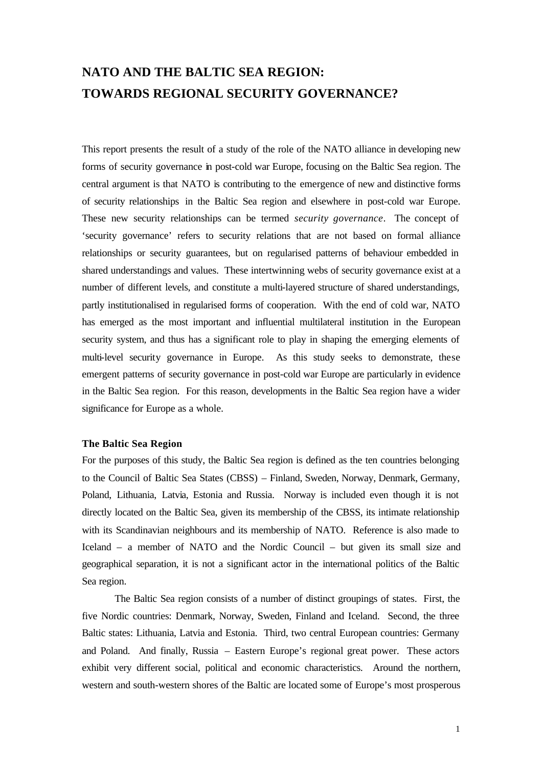### **NATO AND THE BALTIC SEA REGION: TOWARDS REGIONAL SECURITY GOVERNANCE?**

This report presents the result of a study of the role of the NATO alliance in developing new forms of security governance in post-cold war Europe, focusing on the Baltic Sea region. The central argument is that NATO is contributing to the emergence of new and distinctive forms of security relationships in the Baltic Sea region and elsewhere in post-cold war Europe. These new security relationships can be termed *security governance*. The concept of 'security governance' refers to security relations that are not based on formal alliance relationships or security guarantees, but on regularised patterns of behaviour embedded in shared understandings and values. These intertwinning webs of security governance exist at a number of different levels, and constitute a multi-layered structure of shared understandings, partly institutionalised in regularised forms of cooperation. With the end of cold war, NATO has emerged as the most important and influential multilateral institution in the European security system, and thus has a significant role to play in shaping the emerging elements of multi-level security governance in Europe. As this study seeks to demonstrate, these emergent patterns of security governance in post-cold war Europe are particularly in evidence in the Baltic Sea region. For this reason, developments in the Baltic Sea region have a wider significance for Europe as a whole.

#### **The Baltic Sea Region**

For the purposes of this study, the Baltic Sea region is defined as the ten countries belonging to the Council of Baltic Sea States (CBSS) – Finland, Sweden, Norway, Denmark, Germany, Poland, Lithuania, Latvia, Estonia and Russia. Norway is included even though it is not directly located on the Baltic Sea, given its membership of the CBSS, its intimate relationship with its Scandinavian neighbours and its membership of NATO. Reference is also made to Iceland – a member of NATO and the Nordic Council – but given its small size and geographical separation, it is not a significant actor in the international politics of the Baltic Sea region.

The Baltic Sea region consists of a number of distinct groupings of states. First, the five Nordic countries: Denmark, Norway, Sweden, Finland and Iceland. Second, the three Baltic states: Lithuania, Latvia and Estonia. Third, two central European countries: Germany and Poland. And finally, Russia – Eastern Europe's regional great power. These actors exhibit very different social, political and economic characteristics. Around the northern, western and south-western shores of the Baltic are located some of Europe's most prosperous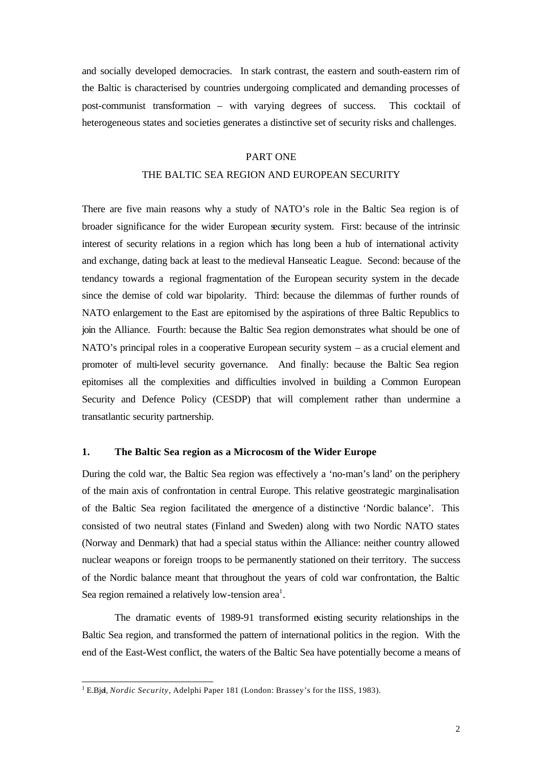and socially developed democracies. In stark contrast, the eastern and south-eastern rim of the Baltic is characterised by countries undergoing complicated and demanding processes of post-communist transformation – with varying degrees of success. This cocktail of heterogeneous states and societies generates a distinctive set of security risks and challenges.

#### PART ONE

#### THE BALTIC SEA REGION AND EUROPEAN SECURITY

There are five main reasons why a study of NATO's role in the Baltic Sea region is of broader significance for the wider European security system. First: because of the intrinsic interest of security relations in a region which has long been a hub of international activity and exchange, dating back at least to the medieval Hanseatic League. Second: because of the tendancy towards a regional fragmentation of the European security system in the decade since the demise of cold war bipolarity. Third: because the dilemmas of further rounds of NATO enlargement to the East are epitomised by the aspirations of three Baltic Republics to join the Alliance. Fourth: because the Baltic Sea region demonstrates what should be one of NATO's principal roles in a cooperative European security system – as a crucial element and promoter of multi-level security governance. And finally: because the Baltic Sea region epitomises all the complexities and difficulties involved in building a Common European Security and Defence Policy (CESDP) that will complement rather than undermine a transatlantic security partnership.

#### **1. The Baltic Sea region as a Microcosm of the Wider Europe**

During the cold war, the Baltic Sea region was effectively a 'no-man's land' on the periphery of the main axis of confrontation in central Europe. This relative geostrategic marginalisation of the Baltic Sea region facilitated the emergence of a distinctive 'Nordic balance'. This consisted of two neutral states (Finland and Sweden) along with two Nordic NATO states (Norway and Denmark) that had a special status within the Alliance: neither country allowed nuclear weapons or foreign troops to be permanently stationed on their territory. The success of the Nordic balance meant that throughout the years of cold war confrontation, the Baltic Sea region remained a relatively low-tension area<sup>1</sup>.

The dramatic events of 1989-91 transformed existing security relationships in the Baltic Sea region, and transformed the pattern of international politics in the region. With the end of the East-West conflict, the waters of the Baltic Sea have potentially become a means of

 1 E.Bjøl, *Nordic Security*, Adelphi Paper 181 (London: Brassey's for the IISS, 1983).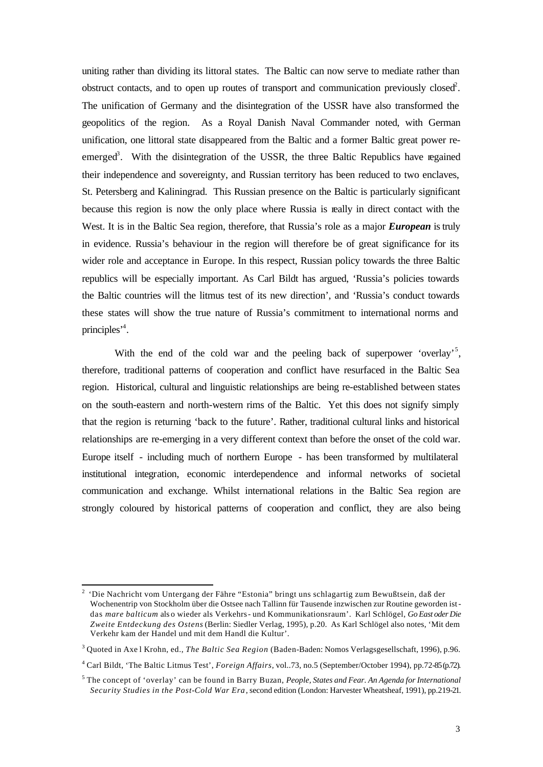uniting rather than dividing its littoral states. The Baltic can now serve to mediate rather than obstruct contacts, and to open up routes of transport and communication previously closed<sup>2</sup>. The unification of Germany and the disintegration of the USSR have also transformed the geopolitics of the region. As a Royal Danish Naval Commander noted, with German unification, one littoral state disappeared from the Baltic and a former Baltic great power reemerged<sup>3</sup>. With the disintegration of the USSR, the three Baltic Republics have regained their independence and sovereignty, and Russian territory has been reduced to two enclaves, St. Petersberg and Kaliningrad. This Russian presence on the Baltic is particularly significant because this region is now the only place where Russia is really in direct contact with the West. It is in the Baltic Sea region, therefore, that Russia's role as a major *European* is truly in evidence. Russia's behaviour in the region will therefore be of great significance for its wider role and acceptance in Europe. In this respect, Russian policy towards the three Baltic republics will be especially important. As Carl Bildt has argued, 'Russia's policies towards the Baltic countries will the litmus test of its new direction', and 'Russia's conduct towards these states will show the true nature of Russia's commitment to international norms and principles<sup>,4</sup>.

With the end of the cold war and the peeling back of superpower 'overlay'<sup>5</sup>, therefore, traditional patterns of cooperation and conflict have resurfaced in the Baltic Sea region. Historical, cultural and linguistic relationships are being re-established between states on the south-eastern and north-western rims of the Baltic. Yet this does not signify simply that the region is returning 'back to the future'. Rather, traditional cultural links and historical relationships are re-emerging in a very different context than before the onset of the cold war. Europe itself - including much of northern Europe - has been transformed by multilateral institutional integration, economic interdependence and informal networks of societal communication and exchange. Whilst international relations in the Baltic Sea region are strongly coloured by historical patterns of cooperation and conflict, they are also being

l 2 'Die Nachricht vom Untergang der Fähre "Estonia" bringt uns schlagartig zum Bewußtsein, daß der Wochenentrip von Stockholm über die Ostsee nach Tallinn für Tausende inzwischen zur Routine geworden ist das *mare balticum* als o wieder als Verkehrs- und Kommunikationsraum'. Karl Schlögel, *Go East oder Die Zweite Entdeckung des Ostens* (Berlin: Siedler Verlag, 1995), p.20. As Karl Schlögel also notes, 'Mit dem Verkehr kam der Handel und mit dem Handl die Kultur'.

<sup>3</sup> Quoted in Axe l Krohn, ed., *The Baltic Sea Region* (Baden-Baden: Nomos Verlagsgesellschaft, 1996), p.96.

<sup>4</sup> Carl Bildt, 'The Baltic Litmus Test', *Foreign Affairs*, vol..73, no.5 (September/October 1994), pp.72-85 (p.72).

<sup>5</sup> The concept of 'overlay' can be found in Barry Buzan, *People, States and Fear. An Agenda for International Security Studies in the Post-Cold War Era* , second edition (London: Harvester Wheatsheaf, 1991), pp.219-21.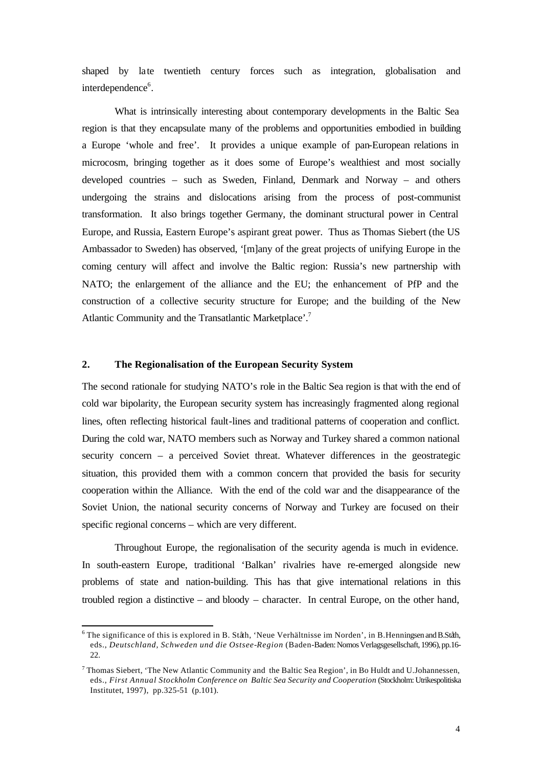shaped by late twentieth century forces such as integration, globalisation and interdependence<sup>6</sup>.

What is intrinsically interesting about contemporary developments in the Baltic Sea region is that they encapsulate many of the problems and opportunities embodied in building a Europe 'whole and free'. It provides a unique example of pan-European relations in microcosm, bringing together as it does some of Europe's wealthiest and most socially developed countries – such as Sweden, Finland, Denmark and Norway – and others undergoing the strains and dislocations arising from the process of post-communist transformation. It also brings together Germany, the dominant structural power in Central Europe, and Russia, Eastern Europe's aspirant great power. Thus as Thomas Siebert (the US Ambassador to Sweden) has observed, '[m]any of the great projects of unifying Europe in the coming century will affect and involve the Baltic region: Russia's new partnership with NATO; the enlargement of the alliance and the EU; the enhancement of PfP and the construction of a collective security structure for Europe; and the building of the New Atlantic Community and the Transatlantic Marketplace'.<sup>7</sup>

#### **2. The Regionalisation of the European Security System**

l

The second rationale for studying NATO's role in the Baltic Sea region is that with the end of cold war bipolarity, the European security system has increasingly fragmented along regional lines, often reflecting historical fault-lines and traditional patterns of cooperation and conflict. During the cold war, NATO members such as Norway and Turkey shared a common national security concern – a perceived Soviet threat. Whatever differences in the geostrategic situation, this provided them with a common concern that provided the basis for security cooperation within the Alliance. With the end of the cold war and the disappearance of the Soviet Union, the national security concerns of Norway and Turkey are focused on their specific regional concerns – which are very different.

Throughout Europe, the regionalisation of the security agenda is much in evidence. In south-eastern Europe, traditional 'Balkan' rivalries have re-emerged alongside new problems of state and nation-building. This has that give international relations in this troubled region a distinctive – and bloody – character. In central Europe, on the other hand,

<sup>&</sup>lt;sup>6</sup> The significance of this is explored in B. Ståth, 'Neue Verhältnisse im Norden', in B.Henningsen and B.Ståth, eds., *Deutschland, Schweden und die Ostsee-Region* (Baden-Baden: Nomos Verlagsgesellschaft, 1996), pp.16- 22.

<sup>&</sup>lt;sup>7</sup> Thomas Siebert, 'The New Atlantic Community and the Baltic Sea Region', in Bo Huldt and U.Johannessen, eds., *First Annual Stockholm Conference on Baltic Sea Security and Cooperation* (Stockholm: Utrikespolitiska Institutet, 1997), pp.325-51 (p.101).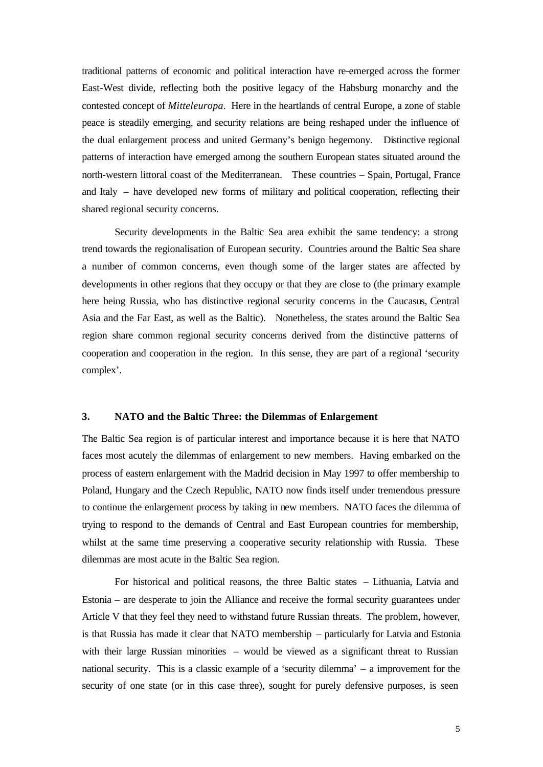traditional patterns of economic and political interaction have re-emerged across the former East-West divide, reflecting both the positive legacy of the Habsburg monarchy and the contested concept of *Mitteleuropa*. Here in the heartlands of central Europe, a zone of stable peace is steadily emerging, and security relations are being reshaped under the influence of the dual enlargement process and united Germany's benign hegemony. Distinctive regional patterns of interaction have emerged among the southern European states situated around the north-western littoral coast of the Mediterranean. These countries – Spain, Portugal, France and Italy – have developed new forms of military and political cooperation, reflecting their shared regional security concerns.

Security developments in the Baltic Sea area exhibit the same tendency: a strong trend towards the regionalisation of European security. Countries around the Baltic Sea share a number of common concerns, even though some of the larger states are affected by developments in other regions that they occupy or that they are close to (the primary example here being Russia, who has distinctive regional security concerns in the Caucasus, Central Asia and the Far East, as well as the Baltic). Nonetheless, the states around the Baltic Sea region share common regional security concerns derived from the distinctive patterns of cooperation and cooperation in the region. In this sense, they are part of a regional 'security complex'.

#### **3. NATO and the Baltic Three: the Dilemmas of Enlargement**

The Baltic Sea region is of particular interest and importance because it is here that NATO faces most acutely the dilemmas of enlargement to new members. Having embarked on the process of eastern enlargement with the Madrid decision in May 1997 to offer membership to Poland, Hungary and the Czech Republic, NATO now finds itself under tremendous pressure to continue the enlargement process by taking in new members. NATO faces the dilemma of trying to respond to the demands of Central and East European countries for membership, whilst at the same time preserving a cooperative security relationship with Russia. These dilemmas are most acute in the Baltic Sea region.

For historical and political reasons, the three Baltic states – Lithuania, Latvia and Estonia – are desperate to join the Alliance and receive the formal security guarantees under Article V that they feel they need to withstand future Russian threats. The problem, however, is that Russia has made it clear that NATO membership – particularly for Latvia and Estonia with their large Russian minorities – would be viewed as a significant threat to Russian national security. This is a classic example of a 'security dilemma' – a improvement for the security of one state (or in this case three), sought for purely defensive purposes, is seen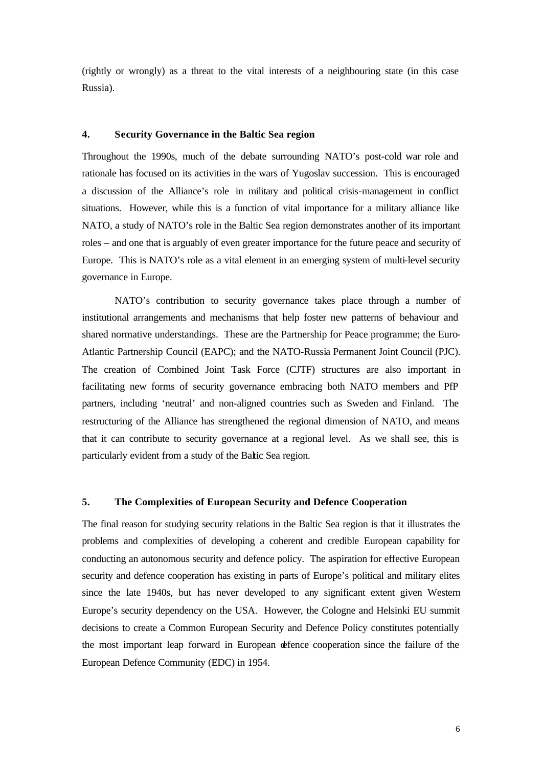(rightly or wrongly) as a threat to the vital interests of a neighbouring state (in this case Russia).

#### **4. Security Governance in the Baltic Sea region**

Throughout the 1990s, much of the debate surrounding NATO's post-cold war role and rationale has focused on its activities in the wars of Yugoslav succession. This is encouraged a discussion of the Alliance's role in military and political crisis-management in conflict situations. However, while this is a function of vital importance for a military alliance like NATO, a study of NATO's role in the Baltic Sea region demonstrates another of its important roles – and one that is arguably of even greater importance for the future peace and security of Europe. This is NATO's role as a vital element in an emerging system of multi-level security governance in Europe.

NATO's contribution to security governance takes place through a number of institutional arrangements and mechanisms that help foster new patterns of behaviour and shared normative understandings. These are the Partnership for Peace programme; the Euro-Atlantic Partnership Council (EAPC); and the NATO-Russia Permanent Joint Council (PJC). The creation of Combined Joint Task Force (CJTF) structures are also important in facilitating new forms of security governance embracing both NATO members and PfP partners, including 'neutral' and non-aligned countries such as Sweden and Finland. The restructuring of the Alliance has strengthened the regional dimension of NATO, and means that it can contribute to security governance at a regional level. As we shall see, this is particularly evident from a study of the Baltic Sea region.

#### **5. The Complexities of European Security and Defence Cooperation**

The final reason for studying security relations in the Baltic Sea region is that it illustrates the problems and complexities of developing a coherent and credible European capability for conducting an autonomous security and defence policy. The aspiration for effective European security and defence cooperation has existing in parts of Europe's political and military elites since the late 1940s, but has never developed to any significant extent given Western Europe's security dependency on the USA. However, the Cologne and Helsinki EU summit decisions to create a Common European Security and Defence Policy constitutes potentially the most important leap forward in European defence cooperation since the failure of the European Defence Community (EDC) in 1954.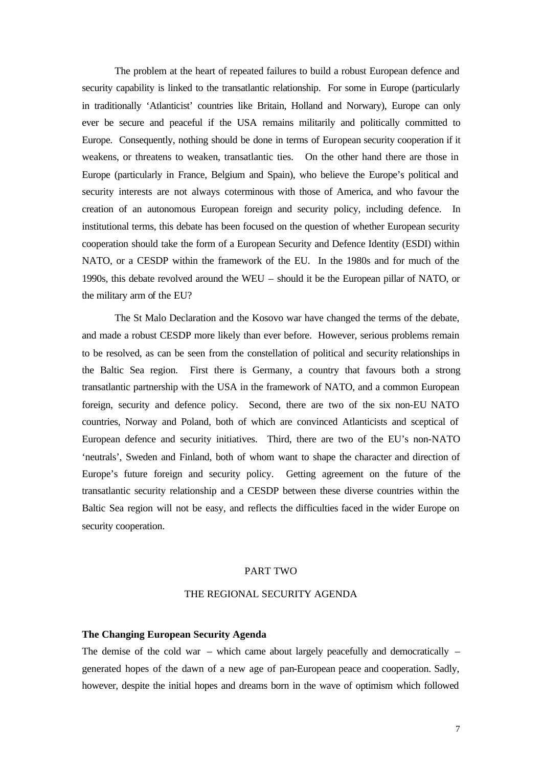The problem at the heart of repeated failures to build a robust European defence and security capability is linked to the transatlantic relationship. For some in Europe (particularly in traditionally 'Atlanticist' countries like Britain, Holland and Norwary), Europe can only ever be secure and peaceful if the USA remains militarily and politically committed to Europe. Consequently, nothing should be done in terms of European security cooperation if it weakens, or threatens to weaken, transatlantic ties. On the other hand there are those in Europe (particularly in France, Belgium and Spain), who believe the Europe's political and security interests are not always coterminous with those of America, and who favour the creation of an autonomous European foreign and security policy, including defence. In institutional terms, this debate has been focused on the question of whether European security cooperation should take the form of a European Security and Defence Identity (ESDI) within NATO, or a CESDP within the framework of the EU. In the 1980s and for much of the 1990s, this debate revolved around the WEU – should it be the European pillar of NATO, or the military arm of the EU?

The St Malo Declaration and the Kosovo war have changed the terms of the debate, and made a robust CESDP more likely than ever before. However, serious problems remain to be resolved, as can be seen from the constellation of political and security relationships in the Baltic Sea region. First there is Germany, a country that favours both a strong transatlantic partnership with the USA in the framework of NATO, and a common European foreign, security and defence policy. Second, there are two of the six non-EU NATO countries, Norway and Poland, both of which are convinced Atlanticists and sceptical of European defence and security initiatives. Third, there are two of the EU's non-NATO 'neutrals', Sweden and Finland, both of whom want to shape the character and direction of Europe's future foreign and security policy. Getting agreement on the future of the transatlantic security relationship and a CESDP between these diverse countries within the Baltic Sea region will not be easy, and reflects the difficulties faced in the wider Europe on security cooperation.

#### PART TWO

#### THE REGIONAL SECURITY AGENDA

#### **The Changing European Security Agenda**

The demise of the cold war – which came about largely peacefully and democratically – generated hopes of the dawn of a new age of pan-European peace and cooperation. Sadly, however, despite the initial hopes and dreams born in the wave of optimism which followed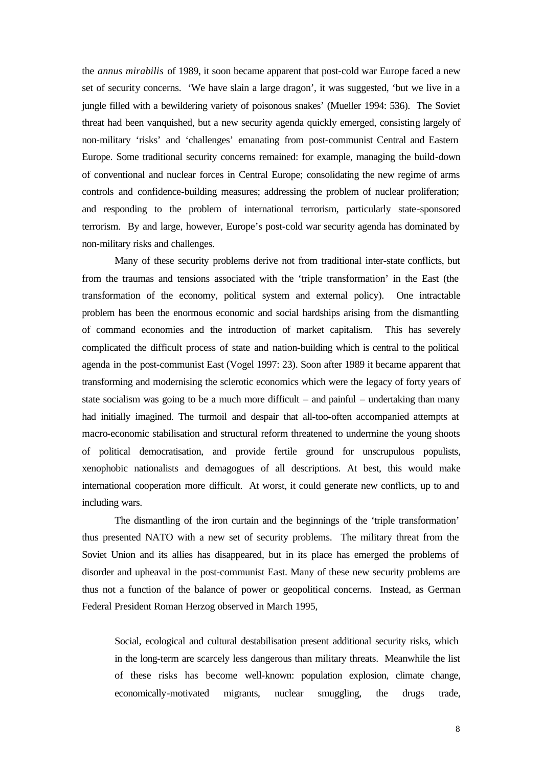the *annus mirabilis* of 1989, it soon became apparent that post-cold war Europe faced a new set of security concerns. 'We have slain a large dragon', it was suggested, 'but we live in a jungle filled with a bewildering variety of poisonous snakes' (Mueller 1994: 536). The Soviet threat had been vanquished, but a new security agenda quickly emerged, consisting largely of non-military 'risks' and 'challenges' emanating from post-communist Central and Eastern Europe. Some traditional security concerns remained: for example, managing the build-down of conventional and nuclear forces in Central Europe; consolidating the new regime of arms controls and confidence-building measures; addressing the problem of nuclear proliferation; and responding to the problem of international terrorism, particularly state-sponsored terrorism. By and large, however, Europe's post-cold war security agenda has dominated by non-military risks and challenges.

Many of these security problems derive not from traditional inter-state conflicts, but from the traumas and tensions associated with the 'triple transformation' in the East (the transformation of the economy, political system and external policy). One intractable problem has been the enormous economic and social hardships arising from the dismantling of command economies and the introduction of market capitalism. This has severely complicated the difficult process of state and nation-building which is central to the political agenda in the post-communist East (Vogel 1997: 23). Soon after 1989 it became apparent that transforming and modernising the sclerotic economics which were the legacy of forty years of state socialism was going to be a much more difficult – and painful – undertaking than many had initially imagined. The turmoil and despair that all-too-often accompanied attempts at macro-economic stabilisation and structural reform threatened to undermine the young shoots of political democratisation, and provide fertile ground for unscrupulous populists, xenophobic nationalists and demagogues of all descriptions. At best, this would make international cooperation more difficult. At worst, it could generate new conflicts, up to and including wars.

The dismantling of the iron curtain and the beginnings of the 'triple transformation' thus presented NATO with a new set of security problems. The military threat from the Soviet Union and its allies has disappeared, but in its place has emerged the problems of disorder and upheaval in the post-communist East. Many of these new security problems are thus not a function of the balance of power or geopolitical concerns. Instead, as German Federal President Roman Herzog observed in March 1995,

Social, ecological and cultural destabilisation present additional security risks, which in the long-term are scarcely less dangerous than military threats. Meanwhile the list of these risks has become well-known: population explosion, climate change, economically-motivated migrants, nuclear smuggling, the drugs trade,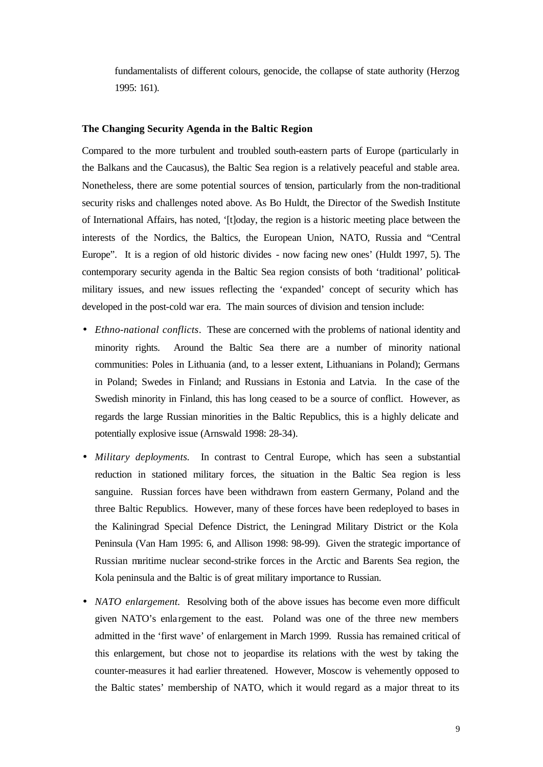fundamentalists of different colours, genocide, the collapse of state authority (Herzog 1995: 161).

#### **The Changing Security Agenda in the Baltic Region**

Compared to the more turbulent and troubled south-eastern parts of Europe (particularly in the Balkans and the Caucasus), the Baltic Sea region is a relatively peaceful and stable area. Nonetheless, there are some potential sources of tension, particularly from the non-traditional security risks and challenges noted above. As Bo Huldt, the Director of the Swedish Institute of International Affairs, has noted, '[t]oday, the region is a historic meeting place between the interests of the Nordics, the Baltics, the European Union, NATO, Russia and "Central Europe". It is a region of old historic divides - now facing new ones' (Huldt 1997, 5). The contemporary security agenda in the Baltic Sea region consists of both 'traditional' politicalmilitary issues, and new issues reflecting the 'expanded' concept of security which has developed in the post-cold war era. The main sources of division and tension include:

- *Ethno-national conflicts*. These are concerned with the problems of national identity and minority rights. Around the Baltic Sea there are a number of minority national communities: Poles in Lithuania (and, to a lesser extent, Lithuanians in Poland); Germans in Poland; Swedes in Finland; and Russians in Estonia and Latvia. In the case of the Swedish minority in Finland, this has long ceased to be a source of conflict. However, as regards the large Russian minorities in the Baltic Republics, this is a highly delicate and potentially explosive issue (Arnswald 1998: 28-34).
- *Military deployments*. In contrast to Central Europe, which has seen a substantial reduction in stationed military forces, the situation in the Baltic Sea region is less sanguine. Russian forces have been withdrawn from eastern Germany, Poland and the three Baltic Republics. However, many of these forces have been redeployed to bases in the Kaliningrad Special Defence District, the Leningrad Military District or the Kola Peninsula (Van Ham 1995: 6, and Allison 1998: 98-99). Given the strategic importance of Russian maritime nuclear second-strike forces in the Arctic and Barents Sea region, the Kola peninsula and the Baltic is of great military importance to Russian.
- *NATO enlargement.* Resolving both of the above issues has become even more difficult given NATO's enla rgement to the east. Poland was one of the three new members admitted in the 'first wave' of enlargement in March 1999. Russia has remained critical of this enlargement, but chose not to jeopardise its relations with the west by taking the counter-measures it had earlier threatened. However, Moscow is vehemently opposed to the Baltic states' membership of NATO, which it would regard as a major threat to its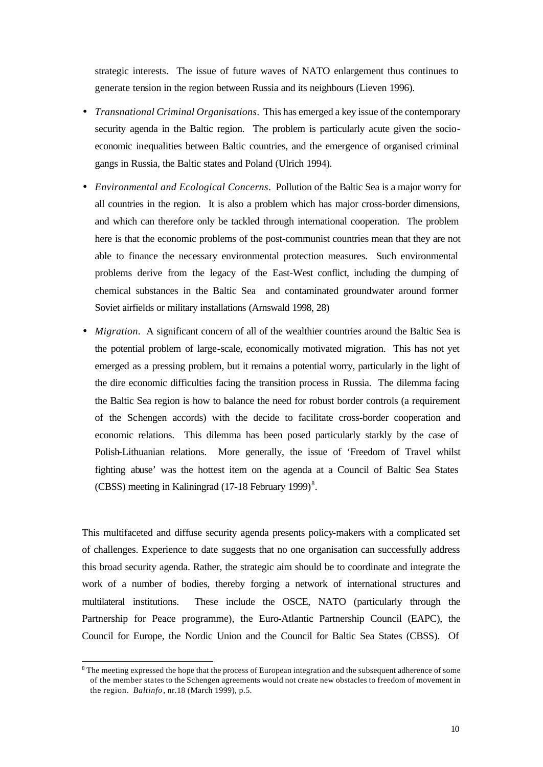strategic interests. The issue of future waves of NATO enlargement thus continues to generate tension in the region between Russia and its neighbours (Lieven 1996).

- *Transnational Criminal Organisations*. This has emerged a key issue of the contemporary security agenda in the Baltic region. The problem is particularly acute given the socioeconomic inequalities between Baltic countries, and the emergence of organised criminal gangs in Russia, the Baltic states and Poland (Ulrich 1994).
- *Environmental and Ecological Concerns*. Pollution of the Baltic Sea is a major worry for all countries in the region. It is also a problem which has major cross-border dimensions, and which can therefore only be tackled through international cooperation. The problem here is that the economic problems of the post-communist countries mean that they are not able to finance the necessary environmental protection measures. Such environmental problems derive from the legacy of the East-West conflict, including the dumping of chemical substances in the Baltic Sea and contaminated groundwater around former Soviet airfields or military installations (Arnswald 1998, 28)
- *Migration*. A significant concern of all of the wealthier countries around the Baltic Sea is the potential problem of large-scale, economically motivated migration. This has not yet emerged as a pressing problem, but it remains a potential worry, particularly in the light of the dire economic difficulties facing the transition process in Russia. The dilemma facing the Baltic Sea region is how to balance the need for robust border controls (a requirement of the Schengen accords) with the decide to facilitate cross-border cooperation and economic relations. This dilemma has been posed particularly starkly by the case of Polish-Lithuanian relations. More generally, the issue of 'Freedom of Travel whilst fighting abuse' was the hottest item on the agenda at a Council of Baltic Sea States (CBSS) meeting in Kaliningrad  $(17-18$  February 1999)<sup>8</sup>.

This multifaceted and diffuse security agenda presents policy-makers with a complicated set of challenges. Experience to date suggests that no one organisation can successfully address this broad security agenda. Rather, the strategic aim should be to coordinate and integrate the work of a number of bodies, thereby forging a network of international structures and multilateral institutions. These include the OSCE, NATO (particularly through the Partnership for Peace programme), the Euro-Atlantic Partnership Council (EAPC), the Council for Europe, the Nordic Union and the Council for Baltic Sea States (CBSS). Of

<sup>&</sup>lt;sup>8</sup> The meeting expressed the hope that the process of European integration and the subsequent adherence of some of the member states to the Schengen agreements would not create new obstacles to freedom of movement in the region. *Baltinfo* , nr.18 (March 1999), p.5.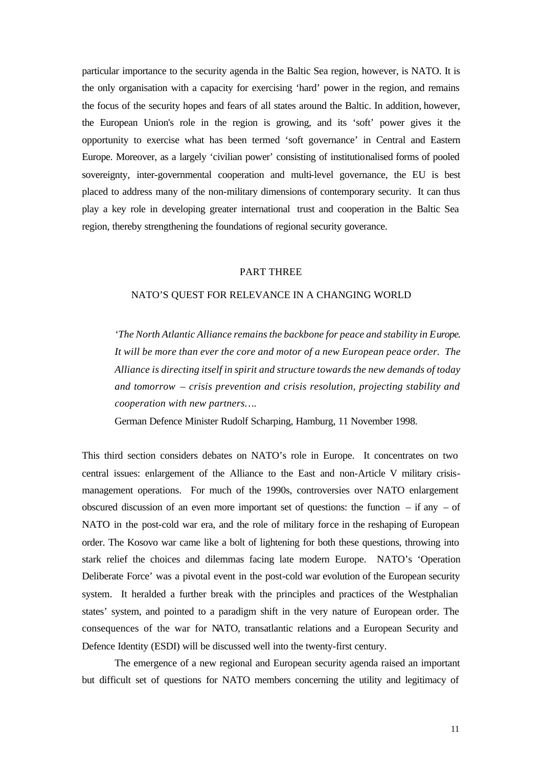particular importance to the security agenda in the Baltic Sea region, however, is NATO. It is the only organisation with a capacity for exercising 'hard' power in the region, and remains the focus of the security hopes and fears of all states around the Baltic. In addition, however, the European Union's role in the region is growing, and its 'soft' power gives it the opportunity to exercise what has been termed 'soft governance' in Central and Eastern Europe. Moreover, as a largely 'civilian power' consisting of institutionalised forms of pooled sovereignty, inter-governmental cooperation and multi-level governance, the EU is best placed to address many of the non-military dimensions of contemporary security. It can thus play a key role in developing greater international trust and cooperation in the Baltic Sea region, thereby strengthening the foundations of regional security goverance.

#### PART THREE

#### NATO'S QUEST FOR RELEVANCE IN A CHANGING WORLD

*'The North Atlantic Alliance remains the backbone for peace and stability in Europe. It will be more than ever the core and motor of a new European peace order. The Alliance is directing itself in spirit and structure towards the new demands of today and tomorrow – crisis prevention and crisis resolution, projecting stability and cooperation with new partners….*

German Defence Minister Rudolf Scharping, Hamburg, 11 November 1998.

This third section considers debates on NATO's role in Europe. It concentrates on two central issues: enlargement of the Alliance to the East and non-Article V military crisismanagement operations. For much of the 1990s, controversies over NATO enlargement obscured discussion of an even more important set of questions: the function  $-$  if any  $-$  of NATO in the post-cold war era, and the role of military force in the reshaping of European order. The Kosovo war came like a bolt of lightening for both these questions, throwing into stark relief the choices and dilemmas facing late modern Europe. NATO's 'Operation Deliberate Force' was a pivotal event in the post-cold war evolution of the European security system. It heralded a further break with the principles and practices of the Westphalian states' system, and pointed to a paradigm shift in the very nature of European order. The consequences of the war for NATO, transatlantic relations and a European Security and Defence Identity (ESDI) will be discussed well into the twenty-first century.

The emergence of a new regional and European security agenda raised an important but difficult set of questions for NATO members concerning the utility and legitimacy of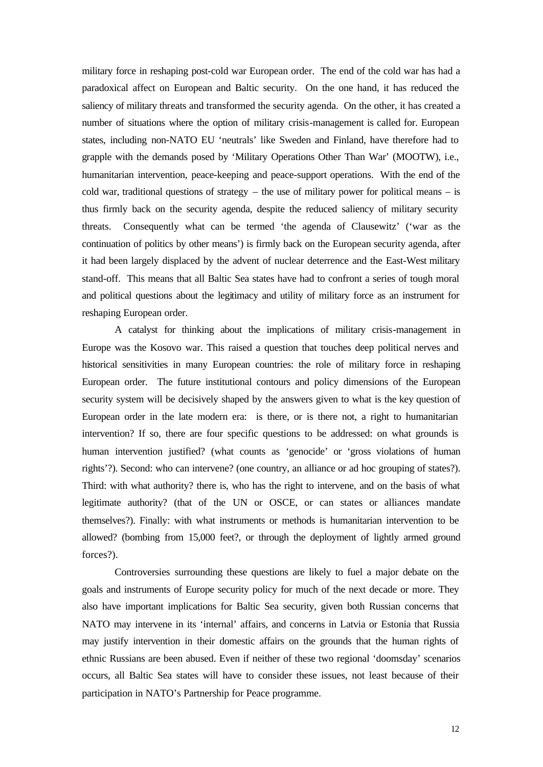military force in reshaping post-cold war European order. The end of the cold war has had a paradoxical affect on European and Baltic security. On the one hand, it has reduced the saliency of military threats and transformed the security agenda. On the other, it has created a number of situations where the option of military crisis-management is called for. European states, including non-NATO EU 'neutrals' like Sweden and Finland, have therefore had to grapple with the demands posed by 'Military Operations Other Than War' (MOOTW), i.e., humanitarian intervention, peace-keeping and peace-support operations. With the end of the cold war, traditional questions of strategy  $-$  the use of military power for political means  $-$  is thus firmly back on the security agenda, despite the reduced saliency of military security threats. Consequently what can be termed 'the agenda of Clausewitz' ('war as the continuation of politics by other means') is firmly back on the European security agenda, after it had been largely displaced by the advent of nuclear deterrence and the East-West military stand-off. This means that all Baltic Sea states have had to confront a series of tough moral and political questions about the legitimacy and utility of military force as an instrument for reshaping European order.

A catalyst for thinking about the implications of military crisis-management in Europe was the Kosovo war. This raised a question that touches deep political nerves and historical sensitivities in many European countries: the role of military force in reshaping European order. The future institutional contours and policy dimensions of the European security system will be decisively shaped by the answers given to what is the key question of European order in the late modern era: is there, or is there not, a right to humanitarian intervention? If so, there are four specific questions to be addressed: on what grounds is human intervention justified? (what counts as 'genocide' or 'gross violations of human rights'?). Second: who can intervene? (one country, an alliance or ad hoc grouping of states?). Third: with what authority? there is, who has the right to intervene, and on the basis of what legitimate authority? (that of the UN or OSCE, or can states or alliances mandate themselves?). Finally: with what instruments or methods is humanitarian intervention to be allowed? (bombing from 15,000 feet?, or through the deployment of lightly armed ground forces?).

Controversies surrounding these questions are likely to fuel a major debate on the goals and instruments of Europe security policy for much of the next decade or more. They also have important implications for Baltic Sea security, given both Russian concerns that NATO may intervene in its 'internal' affairs, and concerns in Latvia or Estonia that Russia may justify intervention in their domestic affairs on the grounds that the human rights of ethnic Russians are been abused. Even if neither of these two regional 'doomsday' scenarios occurs, all Baltic Sea states will have to consider these issues, not least because of their participation in NATO's Partnership for Peace programme.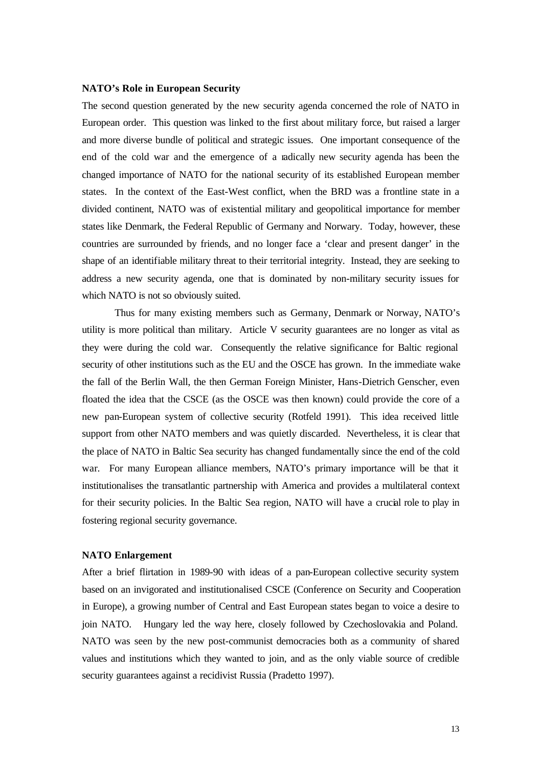#### **NATO's Role in European Security**

The second question generated by the new security agenda concerned the role of NATO in European order. This question was linked to the first about military force, but raised a larger and more diverse bundle of political and strategic issues. One important consequence of the end of the cold war and the emergence of a radically new security agenda has been the changed importance of NATO for the national security of its established European member states. In the context of the East-West conflict, when the BRD was a frontline state in a divided continent, NATO was of existential military and geopolitical importance for member states like Denmark, the Federal Republic of Germany and Norwary. Today, however, these countries are surrounded by friends, and no longer face a 'clear and present danger' in the shape of an identifiable military threat to their territorial integrity. Instead, they are seeking to address a new security agenda, one that is dominated by non-military security issues for which NATO is not so obviously suited.

Thus for many existing members such as Germany, Denmark or Norway, NATO's utility is more political than military. Article V security guarantees are no longer as vital as they were during the cold war. Consequently the relative significance for Baltic regional security of other institutions such as the EU and the OSCE has grown. In the immediate wake the fall of the Berlin Wall, the then German Foreign Minister, Hans-Dietrich Genscher, even floated the idea that the CSCE (as the OSCE was then known) could provide the core of a new pan-European system of collective security (Rotfeld 1991). This idea received little support from other NATO members and was quietly discarded. Nevertheless, it is clear that the place of NATO in Baltic Sea security has changed fundamentally since the end of the cold war. For many European alliance members, NATO's primary importance will be that it institutionalises the transatlantic partnership with America and provides a multilateral context for their security policies. In the Baltic Sea region, NATO will have a crucial role to play in fostering regional security governance.

#### **NATO Enlargement**

After a brief flirtation in 1989-90 with ideas of a pan-European collective security system based on an invigorated and institutionalised CSCE (Conference on Security and Cooperation in Europe), a growing number of Central and East European states began to voice a desire to join NATO. Hungary led the way here, closely followed by Czechoslovakia and Poland. NATO was seen by the new post-communist democracies both as a community of shared values and institutions which they wanted to join, and as the only viable source of credible security guarantees against a recidivist Russia (Pradetto 1997).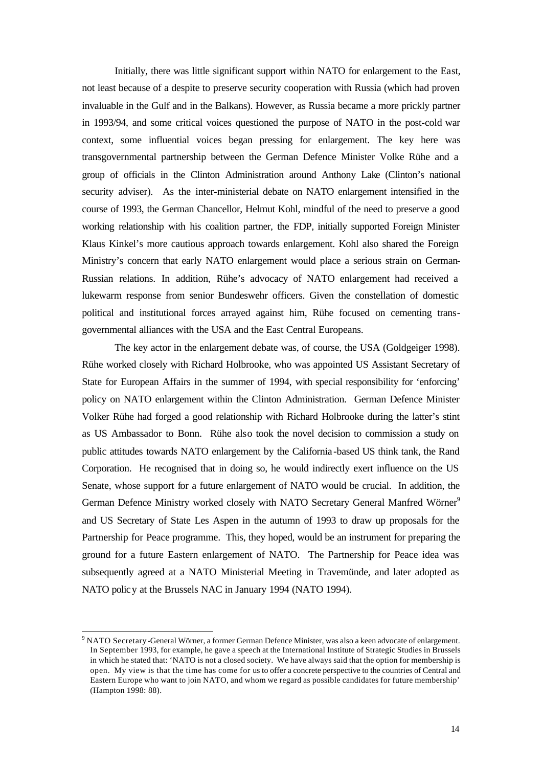Initially, there was little significant support within NATO for enlargement to the East, not least because of a despite to preserve security cooperation with Russia (which had proven invaluable in the Gulf and in the Balkans). However, as Russia became a more prickly partner in 1993/94, and some critical voices questioned the purpose of NATO in the post-cold war context, some influential voices began pressing for enlargement. The key here was transgovernmental partnership between the German Defence Minister Volke Rühe and a group of officials in the Clinton Administration around Anthony Lake (Clinton's national security adviser). As the inter-ministerial debate on NATO enlargement intensified in the course of 1993, the German Chancellor, Helmut Kohl, mindful of the need to preserve a good working relationship with his coalition partner, the FDP, initially supported Foreign Minister Klaus Kinkel's more cautious approach towards enlargement. Kohl also shared the Foreign Ministry's concern that early NATO enlargement would place a serious strain on German-Russian relations. In addition, Rühe's advocacy of NATO enlargement had received a lukewarm response from senior Bundeswehr officers. Given the constellation of domestic political and institutional forces arrayed against him, Rühe focused on cementing transgovernmental alliances with the USA and the East Central Europeans.

The key actor in the enlargement debate was, of course, the USA (Goldgeiger 1998). Rühe worked closely with Richard Holbrooke, who was appointed US Assistant Secretary of State for European Affairs in the summer of 1994, with special responsibility for 'enforcing' policy on NATO enlargement within the Clinton Administration. German Defence Minister Volker Rühe had forged a good relationship with Richard Holbrooke during the latter's stint as US Ambassador to Bonn. Rühe also took the novel decision to commission a study on public attitudes towards NATO enlargement by the California -based US think tank, the Rand Corporation. He recognised that in doing so, he would indirectly exert influence on the US Senate, whose support for a future enlargement of NATO would be crucial. In addition, the German Defence Ministry worked closely with NATO Secretary General Manfred Wörner<sup>9</sup> and US Secretary of State Les Aspen in the autumn of 1993 to draw up proposals for the Partnership for Peace programme. This, they hoped, would be an instrument for preparing the ground for a future Eastern enlargement of NATO. The Partnership for Peace idea was subsequently agreed at a NATO Ministerial Meeting in Travemünde, and later adopted as NATO policy at the Brussels NAC in January 1994 (NATO 1994).

<sup>9</sup> NATO Secretary-General Wörner, a former German Defence Minister, was also a keen advocate of enlargement. In September 1993, for example, he gave a speech at the International Institute of Strategic Studies in Brussels in which he stated that: 'NATO is not a closed society. We have always said that the option for membership is open. My view is that the time has come for us to offer a concrete perspective to the countries of Central and Eastern Europe who want to join NATO, and whom we regard as possible candidates for future membership' (Hampton 1998: 88).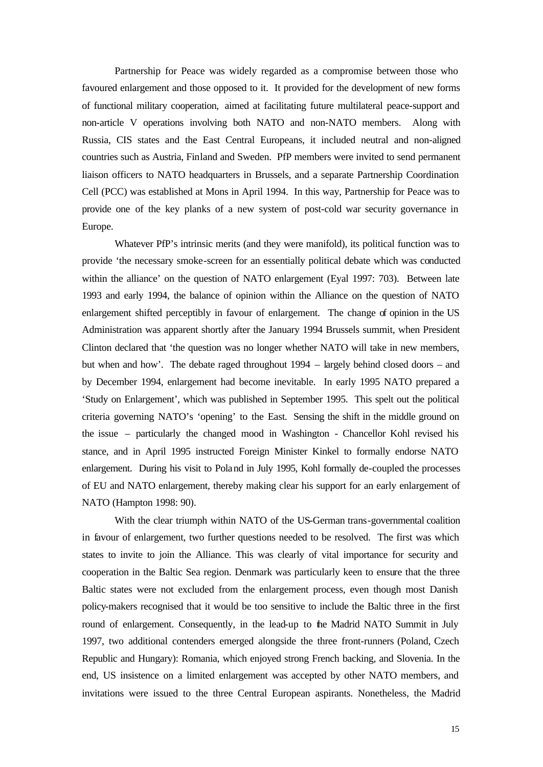Partnership for Peace was widely regarded as a compromise between those who favoured enlargement and those opposed to it. It provided for the development of new forms of functional military cooperation, aimed at facilitating future multilateral peace-support and non-article V operations involving both NATO and non-NATO members. Along with Russia, CIS states and the East Central Europeans, it included neutral and non-aligned countries such as Austria, Finland and Sweden. PfP members were invited to send permanent liaison officers to NATO headquarters in Brussels, and a separate Partnership Coordination Cell (PCC) was established at Mons in April 1994. In this way, Partnership for Peace was to provide one of the key planks of a new system of post-cold war security governance in Europe.

Whatever PfP's intrinsic merits (and they were manifold), its political function was to provide 'the necessary smoke-screen for an essentially political debate which was conducted within the alliance' on the question of NATO enlargement (Eyal 1997: 703). Between late 1993 and early 1994, the balance of opinion within the Alliance on the question of NATO enlargement shifted perceptibly in favour of enlargement. The change of opinion in the US Administration was apparent shortly after the January 1994 Brussels summit, when President Clinton declared that 'the question was no longer whether NATO will take in new members, but when and how'. The debate raged throughout 1994 – largely behind closed doors – and by December 1994, enlargement had become inevitable. In early 1995 NATO prepared a 'Study on Enlargement', which was published in September 1995. This spelt out the political criteria governing NATO's 'opening' to the East. Sensing the shift in the middle ground on the issue – particularly the changed mood in Washington - Chancellor Kohl revised his stance, and in April 1995 instructed Foreign Minister Kinkel to formally endorse NATO enlargement. During his visit to Poland in July 1995, Kohl formally de-coupled the processes of EU and NATO enlargement, thereby making clear his support for an early enlargement of NATO (Hampton 1998: 90).

With the clear triumph within NATO of the US-German trans-governmental coalition in favour of enlargement, two further questions needed to be resolved. The first was which states to invite to join the Alliance. This was clearly of vital importance for security and cooperation in the Baltic Sea region. Denmark was particularly keen to ensure that the three Baltic states were not excluded from the enlargement process, even though most Danish policy-makers recognised that it would be too sensitive to include the Baltic three in the first round of enlargement. Consequently, in the lead-up to the Madrid NATO Summit in July 1997, two additional contenders emerged alongside the three front-runners (Poland, Czech Republic and Hungary): Romania, which enjoyed strong French backing, and Slovenia. In the end, US insistence on a limited enlargement was accepted by other NATO members, and invitations were issued to the three Central European aspirants. Nonetheless, the Madrid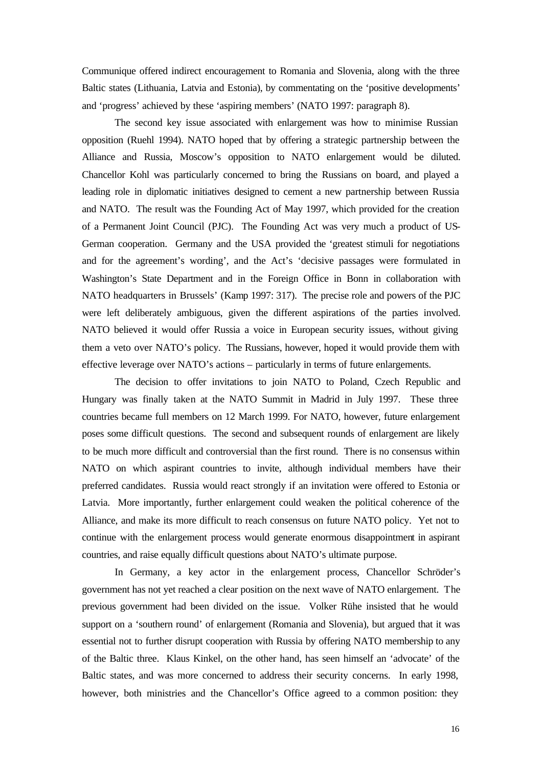Communique offered indirect encouragement to Romania and Slovenia, along with the three Baltic states (Lithuania, Latvia and Estonia), by commentating on the 'positive developments' and 'progress' achieved by these 'aspiring members' (NATO 1997: paragraph 8).

The second key issue associated with enlargement was how to minimise Russian opposition (Ruehl 1994). NATO hoped that by offering a strategic partnership between the Alliance and Russia, Moscow's opposition to NATO enlargement would be diluted. Chancellor Kohl was particularly concerned to bring the Russians on board, and played a leading role in diplomatic initiatives designed to cement a new partnership between Russia and NATO. The result was the Founding Act of May 1997, which provided for the creation of a Permanent Joint Council (PJC). The Founding Act was very much a product of US-German cooperation. Germany and the USA provided the 'greatest stimuli for negotiations and for the agreement's wording', and the Act's 'decisive passages were formulated in Washington's State Department and in the Foreign Office in Bonn in collaboration with NATO headquarters in Brussels' (Kamp 1997: 317). The precise role and powers of the PJC were left deliberately ambiguous, given the different aspirations of the parties involved. NATO believed it would offer Russia a voice in European security issues, without giving them a veto over NATO's policy. The Russians, however, hoped it would provide them with effective leverage over NATO's actions – particularly in terms of future enlargements.

The decision to offer invitations to join NATO to Poland, Czech Republic and Hungary was finally taken at the NATO Summit in Madrid in July 1997. These three countries became full members on 12 March 1999. For NATO, however, future enlargement poses some difficult questions. The second and subsequent rounds of enlargement are likely to be much more difficult and controversial than the first round. There is no consensus within NATO on which aspirant countries to invite, although individual members have their preferred candidates. Russia would react strongly if an invitation were offered to Estonia or Latvia. More importantly, further enlargement could weaken the political coherence of the Alliance, and make its more difficult to reach consensus on future NATO policy. Yet not to continue with the enlargement process would generate enormous disappointment in aspirant countries, and raise equally difficult questions about NATO's ultimate purpose.

In Germany, a key actor in the enlargement process, Chancellor Schröder's government has not yet reached a clear position on the next wave of NATO enlargement. The previous government had been divided on the issue. Volker Rühe insisted that he would support on a 'southern round' of enlargement (Romania and Slovenia), but argued that it was essential not to further disrupt cooperation with Russia by offering NATO membership to any of the Baltic three. Klaus Kinkel, on the other hand, has seen himself an 'advocate' of the Baltic states, and was more concerned to address their security concerns. In early 1998, however, both ministries and the Chancellor's Office agreed to a common position: they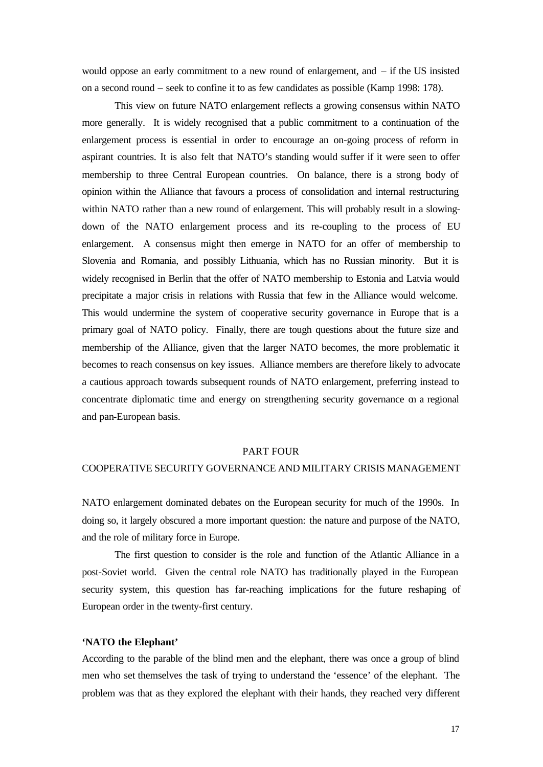would oppose an early commitment to a new round of enlargement, and – if the US insisted on a second round – seek to confine it to as few candidates as possible (Kamp 1998: 178).

This view on future NATO enlargement reflects a growing consensus within NATO more generally. It is widely recognised that a public commitment to a continuation of the enlargement process is essential in order to encourage an on-going process of reform in aspirant countries. It is also felt that NATO's standing would suffer if it were seen to offer membership to three Central European countries. On balance, there is a strong body of opinion within the Alliance that favours a process of consolidation and internal restructuring within NATO rather than a new round of enlargement. This will probably result in a slowingdown of the NATO enlargement process and its re-coupling to the process of EU enlargement. A consensus might then emerge in NATO for an offer of membership to Slovenia and Romania, and possibly Lithuania, which has no Russian minority. But it is widely recognised in Berlin that the offer of NATO membership to Estonia and Latvia would precipitate a major crisis in relations with Russia that few in the Alliance would welcome. This would undermine the system of cooperative security governance in Europe that is a primary goal of NATO policy. Finally, there are tough questions about the future size and membership of the Alliance, given that the larger NATO becomes, the more problematic it becomes to reach consensus on key issues. Alliance members are therefore likely to advocate a cautious approach towards subsequent rounds of NATO enlargement, preferring instead to concentrate diplomatic time and energy on strengthening security governance on a regional and pan-European basis.

#### PART FOUR

#### COOPERATIVE SECURITY GOVERNANCE AND MILITARY CRISIS MANAGEMENT

NATO enlargement dominated debates on the European security for much of the 1990s. In doing so, it largely obscured a more important question: the nature and purpose of the NATO, and the role of military force in Europe.

The first question to consider is the role and function of the Atlantic Alliance in a post-Soviet world. Given the central role NATO has traditionally played in the European security system, this question has far-reaching implications for the future reshaping of European order in the twenty-first century.

#### **'NATO the Elephant'**

According to the parable of the blind men and the elephant, there was once a group of blind men who set themselves the task of trying to understand the 'essence' of the elephant. The problem was that as they explored the elephant with their hands, they reached very different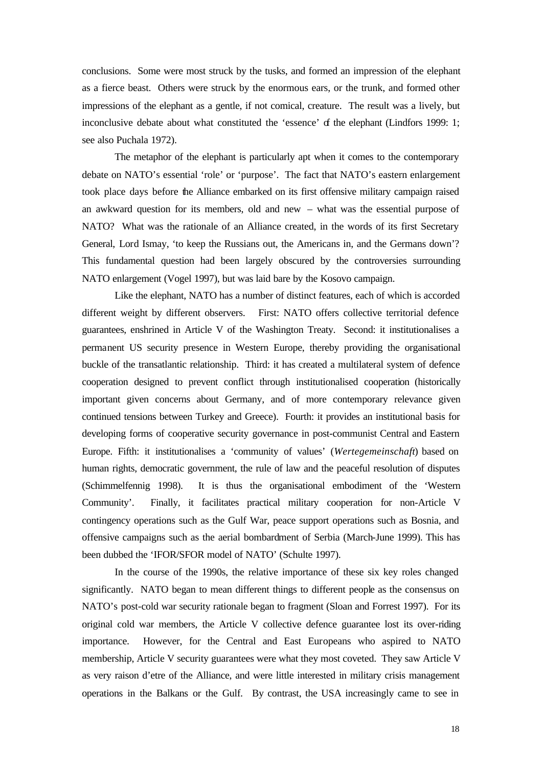conclusions. Some were most struck by the tusks, and formed an impression of the elephant as a fierce beast. Others were struck by the enormous ears, or the trunk, and formed other impressions of the elephant as a gentle, if not comical, creature. The result was a lively, but inconclusive debate about what constituted the 'essence' of the elephant (Lindfors 1999: 1; see also Puchala 1972).

The metaphor of the elephant is particularly apt when it comes to the contemporary debate on NATO's essential 'role' or 'purpose'. The fact that NATO's eastern enlargement took place days before the Alliance embarked on its first offensive military campaign raised an awkward question for its members, old and new – what was the essential purpose of NATO? What was the rationale of an Alliance created, in the words of its first Secretary General, Lord Ismay, 'to keep the Russians out, the Americans in, and the Germans down'? This fundamental question had been largely obscured by the controversies surrounding NATO enlargement (Vogel 1997), but was laid bare by the Kosovo campaign.

Like the elephant, NATO has a number of distinct features, each of which is accorded different weight by different observers. First: NATO offers collective territorial defence guarantees, enshrined in Article V of the Washington Treaty. Second: it institutionalises a permanent US security presence in Western Europe, thereby providing the organisational buckle of the transatlantic relationship. Third: it has created a multilateral system of defence cooperation designed to prevent conflict through institutionalised cooperation (historically important given concerns about Germany, and of more contemporary relevance given continued tensions between Turkey and Greece). Fourth: it provides an institutional basis for developing forms of cooperative security governance in post-communist Central and Eastern Europe. Fifth: it institutionalises a 'community of values' (*Wertegemeinschaft*) based on human rights, democratic government, the rule of law and the peaceful resolution of disputes (Schimmelfennig 1998). It is thus the organisational embodiment of the 'Western Community'. Finally, it facilitates practical military cooperation for non-Article V contingency operations such as the Gulf War, peace support operations such as Bosnia, and offensive campaigns such as the aerial bombardment of Serbia (March-June 1999). This has been dubbed the 'IFOR/SFOR model of NATO' (Schulte 1997).

In the course of the 1990s, the relative importance of these six key roles changed significantly. NATO began to mean different things to different people as the consensus on NATO's post-cold war security rationale began to fragment (Sloan and Forrest 1997). For its original cold war members, the Article V collective defence guarantee lost its over-riding importance. However, for the Central and East Europeans who aspired to NATO membership, Article V security guarantees were what they most coveted. They saw Article V as very raison d'etre of the Alliance, and were little interested in military crisis management operations in the Balkans or the Gulf. By contrast, the USA increasingly came to see in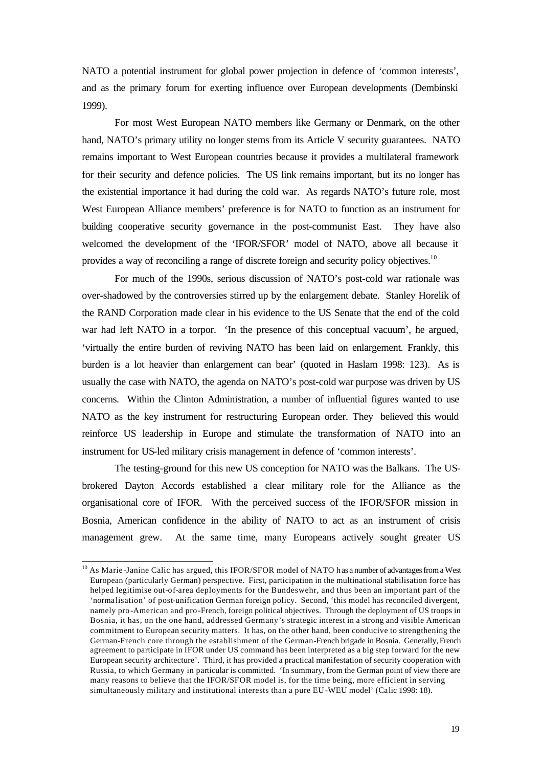NATO a potential instrument for global power projection in defence of 'common interests', and as the primary forum for exerting influence over European developments (Dembinski 1999).

For most West European NATO members like Germany or Denmark, on the other hand, NATO's primary utility no longer stems from its Article V security guarantees. NATO remains important to West European countries because it provides a multilateral framework for their security and defence policies. The US link remains important, but its no longer has the existential importance it had during the cold war. As regards NATO's future role, most West European Alliance members' preference is for NATO to function as an instrument for building cooperative security governance in the post-communist East. They have also welcomed the development of the 'IFOR/SFOR' model of NATO, above all because it provides a way of reconciling a range of discrete foreign and security policy objectives.<sup>10</sup>

For much of the 1990s, serious discussion of NATO's post-cold war rationale was over-shadowed by the controversies stirred up by the enlargement debate. Stanley Horelik of the RAND Corporation made clear in his evidence to the US Senate that the end of the cold war had left NATO in a torpor. 'In the presence of this conceptual vacuum', he argued, 'virtually the entire burden of reviving NATO has been laid on enlargement. Frankly, this burden is a lot heavier than enlargement can bear' (quoted in Haslam 1998: 123). As is usually the case with NATO, the agenda on NATO's post-cold war purpose was driven by US concerns. Within the Clinton Administration, a number of influential figures wanted to use NATO as the key instrument for restructuring European order. They believed this would reinforce US leadership in Europe and stimulate the transformation of NATO into an instrument for US-led military crisis management in defence of 'common interests'.

The testing-ground for this new US conception for NATO was the Balkans. The USbrokered Dayton Accords established a clear military role for the Alliance as the organisational core of IFOR. With the perceived success of the IFOR/SFOR mission in Bosnia, American confidence in the ability of NATO to act as an instrument of crisis management grew. At the same time, many Europeans actively sought greater US

 $10$  As Marie -Janine Calic has argued, this IFOR/SFOR model of NATO has a number of advantages from a West European (particularly German) perspective. First, participation in the multinational stabilisation force has helped legitimise out-of-area deployments for the Bundeswehr, and thus been an important part of the 'normalisation' of post-unification German foreign policy. Second, 'this model has reconciled divergent, namely pro-American and pro -French, foreign political objectives. Through the deployment of US troops in Bosnia, it has, on the one hand, addressed Germany's strategic interest in a strong and visible American commitment to European security matters. It has, on the other hand, been conducive to strengthening the German-French core through the establishment of the German-French brigade in Bosnia. Generally, French agreement to participate in IFOR under US command has been interpreted as a big step forward for the new European security architecture'. Third, it has provided a practical manifestation of security cooperation with Russia, to which Germany in particular is committed. 'In summary, from the German point of view there are many reasons to believe that the IFOR/SFOR model is, for the time being, more efficient in serving simultaneously military and institutional interests than a pure EU-WEU model' (Calic 1998: 18).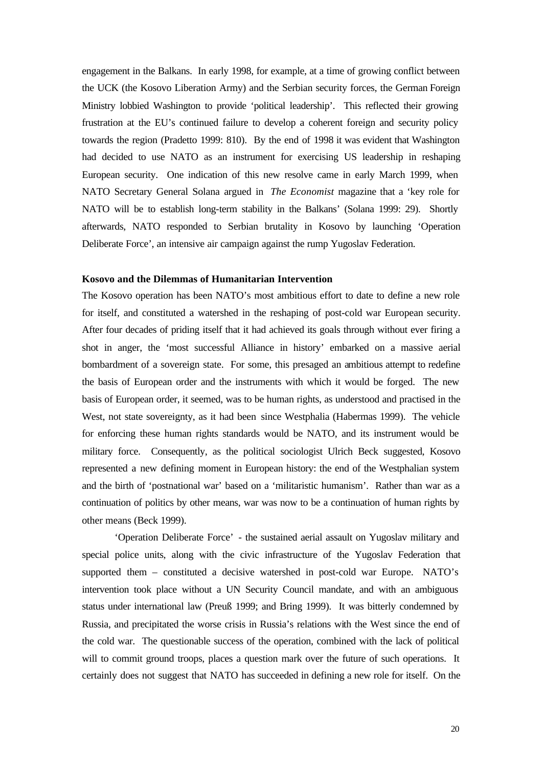engagement in the Balkans. In early 1998, for example, at a time of growing conflict between the UCK (the Kosovo Liberation Army) and the Serbian security forces, the German Foreign Ministry lobbied Washington to provide 'political leadership'. This reflected their growing frustration at the EU's continued failure to develop a coherent foreign and security policy towards the region (Pradetto 1999: 810). By the end of 1998 it was evident that Washington had decided to use NATO as an instrument for exercising US leadership in reshaping European security. One indication of this new resolve came in early March 1999, when NATO Secretary General Solana argued in *The Economist* magazine that a 'key role for NATO will be to establish long-term stability in the Balkans' (Solana 1999: 29). Shortly afterwards, NATO responded to Serbian brutality in Kosovo by launching 'Operation Deliberate Force', an intensive air campaign against the rump Yugoslav Federation.

#### **Kosovo and the Dilemmas of Humanitarian Intervention**

The Kosovo operation has been NATO's most ambitious effort to date to define a new role for itself, and constituted a watershed in the reshaping of post-cold war European security. After four decades of priding itself that it had achieved its goals through without ever firing a shot in anger, the 'most successful Alliance in history' embarked on a massive aerial bombardment of a sovereign state. For some, this presaged an ambitious attempt to redefine the basis of European order and the instruments with which it would be forged. The new basis of European order, it seemed, was to be human rights, as understood and practised in the West, not state sovereignty, as it had been since Westphalia (Habermas 1999). The vehicle for enforcing these human rights standards would be NATO, and its instrument would be military force. Consequently, as the political sociologist Ulrich Beck suggested, Kosovo represented a new defining moment in European history: the end of the Westphalian system and the birth of 'postnational war' based on a 'militaristic humanism'. Rather than war as a continuation of politics by other means, war was now to be a continuation of human rights by other means (Beck 1999).

'Operation Deliberate Force' - the sustained aerial assault on Yugoslav military and special police units, along with the civic infrastructure of the Yugoslav Federation that supported them – constituted a decisive watershed in post-cold war Europe. NATO's intervention took place without a UN Security Council mandate, and with an ambiguous status under international law (Preuß 1999; and Bring 1999). It was bitterly condemned by Russia, and precipitated the worse crisis in Russia's relations with the West since the end of the cold war. The questionable success of the operation, combined with the lack of political will to commit ground troops, places a question mark over the future of such operations. It certainly does not suggest that NATO has succeeded in defining a new role for itself. On the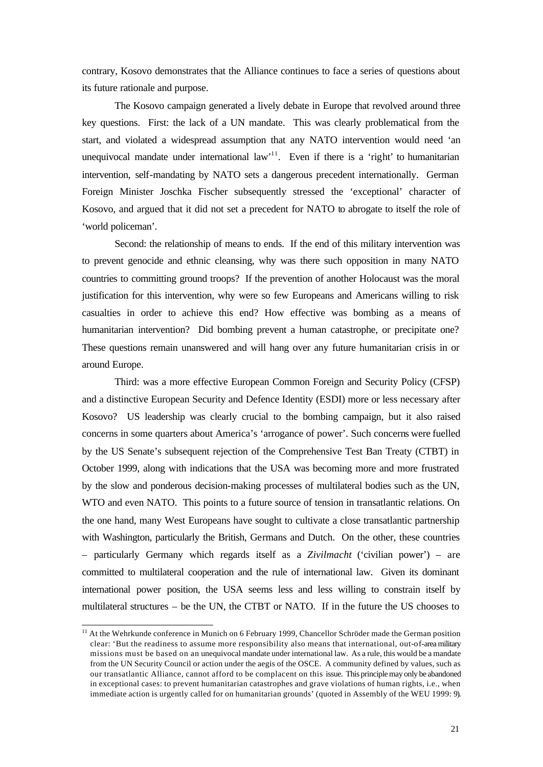contrary, Kosovo demonstrates that the Alliance continues to face a series of questions about its future rationale and purpose.

The Kosovo campaign generated a lively debate in Europe that revolved around three key questions. First: the lack of a UN mandate. This was clearly problematical from the start, and violated a widespread assumption that any NATO intervention would need 'an unequivocal mandate under international  $law<sup>11</sup>$ . Even if there is a 'right' to humanitarian intervention, self-mandating by NATO sets a dangerous precedent internationally. German Foreign Minister Joschka Fischer subsequently stressed the 'exceptional' character of Kosovo, and argued that it did not set a precedent for NATO to abrogate to itself the role of 'world policeman'.

Second: the relationship of means to ends. If the end of this military intervention was to prevent genocide and ethnic cleansing, why was there such opposition in many NATO countries to committing ground troops? If the prevention of another Holocaust was the moral justification for this intervention, why were so few Europeans and Americans willing to risk casualties in order to achieve this end? How effective was bombing as a means of humanitarian intervention? Did bombing prevent a human catastrophe, or precipitate one? These questions remain unanswered and will hang over any future humanitarian crisis in or around Europe.

Third: was a more effective European Common Foreign and Security Policy (CFSP) and a distinctive European Security and Defence Identity (ESDI) more or less necessary after Kosovo? US leadership was clearly crucial to the bombing campaign, but it also raised concerns in some quarters about America's 'arrogance of power'. Such concerns were fuelled by the US Senate's subsequent rejection of the Comprehensive Test Ban Treaty (CTBT) in October 1999, along with indications that the USA was becoming more and more frustrated by the slow and ponderous decision-making processes of multilateral bodies such as the UN, WTO and even NATO. This points to a future source of tension in transatlantic relations. On the one hand, many West Europeans have sought to cultivate a close transatlantic partnership with Washington, particularly the British, Germans and Dutch. On the other, these countries – particularly Germany which regards itself as a *Zivilmacht* ('civilian power') – are committed to multilateral cooperation and the rule of international law. Given its dominant international power position, the USA seems less and less willing to constrain itself by multilateral structures – be the UN, the CTBT or NATO. If in the future the US chooses to

 $11$  At the Wehrkunde conference in Munich on 6 February 1999, Chancellor Schröder made the German position clear: 'But the readiness to assume more responsibility also means that international, out-of-area military missions must be based on an unequivocal mandate under international law. As a rule, this would be a mandate from the UN Security Council or action under the aegis of the OSCE. A community defined by values, such as our transatlantic Alliance, cannot afford to be complacent on this issue. This principle may only be abandoned in exceptional cases: to prevent humanitarian catastrophes and grave violations of human rights, i.e., when immediate action is urgently called for on humanitarian grounds' (quoted in Assembly of the WEU 1999: 9).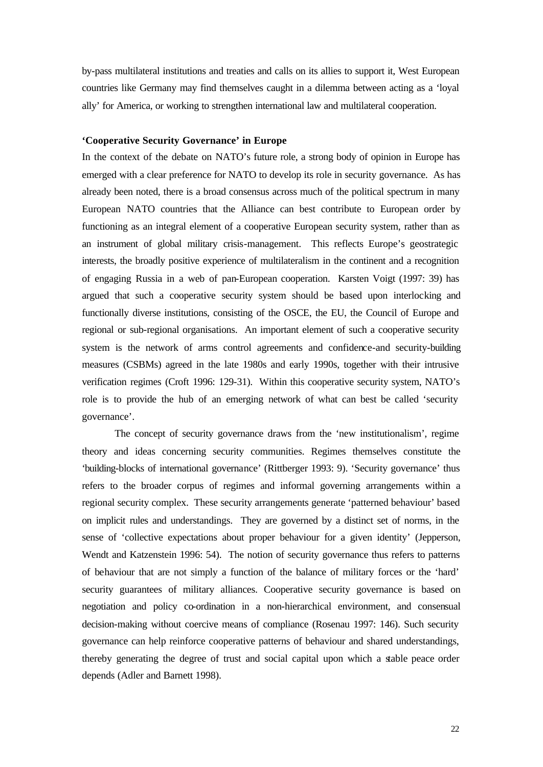by-pass multilateral institutions and treaties and calls on its allies to support it, West European countries like Germany may find themselves caught in a dilemma between acting as a 'loyal ally' for America, or working to strengthen international law and multilateral cooperation.

#### **'Cooperative Security Governance' in Europe**

In the context of the debate on NATO's future role, a strong body of opinion in Europe has emerged with a clear preference for NATO to develop its role in security governance. As has already been noted, there is a broad consensus across much of the political spectrum in many European NATO countries that the Alliance can best contribute to European order by functioning as an integral element of a cooperative European security system, rather than as an instrument of global military crisis-management. This reflects Europe's geostrategic interests, the broadly positive experience of multilateralism in the continent and a recognition of engaging Russia in a web of pan-European cooperation. Karsten Voigt (1997: 39) has argued that such a cooperative security system should be based upon interlocking and functionally diverse institutions, consisting of the OSCE, the EU, the Council of Europe and regional or sub-regional organisations. An important element of such a cooperative security system is the network of arms control agreements and confidence-and security-building measures (CSBMs) agreed in the late 1980s and early 1990s, together with their intrusive verification regimes (Croft 1996: 129-31). Within this cooperative security system, NATO's role is to provide the hub of an emerging network of what can best be called 'security governance'.

The concept of security governance draws from the 'new institutionalism', regime theory and ideas concerning security communities. Regimes themselves constitute the 'building-blocks of international governance' (Rittberger 1993: 9). 'Security governance' thus refers to the broader corpus of regimes and informal governing arrangements within a regional security complex. These security arrangements generate 'patterned behaviour' based on implicit rules and understandings. They are governed by a distinct set of norms, in the sense of 'collective expectations about proper behaviour for a given identity' (Jepperson, Wendt and Katzenstein 1996: 54). The notion of security governance thus refers to patterns of behaviour that are not simply a function of the balance of military forces or the 'hard' security guarantees of military alliances. Cooperative security governance is based on negotiation and policy co-ordination in a non-hierarchical environment, and consensual decision-making without coercive means of compliance (Rosenau 1997: 146). Such security governance can help reinforce cooperative patterns of behaviour and shared understandings, thereby generating the degree of trust and social capital upon which a stable peace order depends (Adler and Barnett 1998).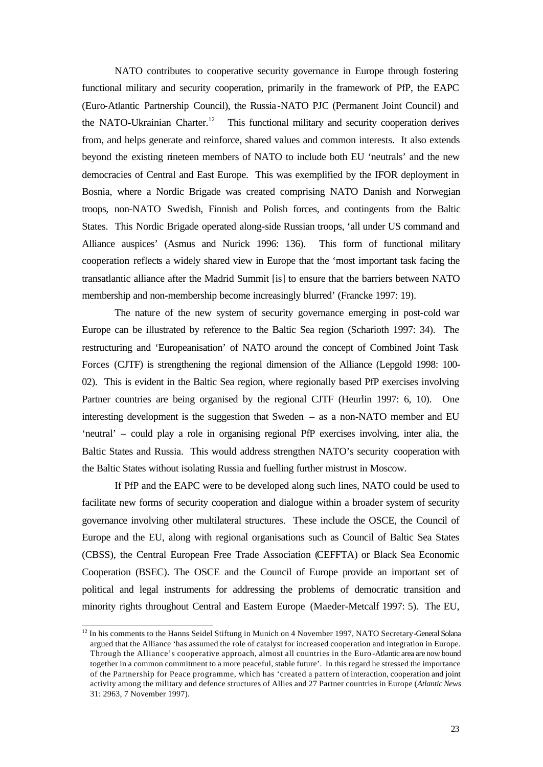NATO contributes to cooperative security governance in Europe through fostering functional military and security cooperation, primarily in the framework of PfP, the EAPC (Euro-Atlantic Partnership Council), the Russia-NATO PJC (Permanent Joint Council) and the NATO-Ukrainian Charter.<sup>12</sup> This functional military and security cooperation derives from, and helps generate and reinforce, shared values and common interests. It also extends beyond the existing nineteen members of NATO to include both EU 'neutrals' and the new democracies of Central and East Europe. This was exemplified by the IFOR deployment in Bosnia, where a Nordic Brigade was created comprising NATO Danish and Norwegian troops, non-NATO Swedish, Finnish and Polish forces, and contingents from the Baltic States. This Nordic Brigade operated along-side Russian troops, 'all under US command and Alliance auspices' (Asmus and Nurick 1996: 136). This form of functional military cooperation reflects a widely shared view in Europe that the 'most important task facing the transatlantic alliance after the Madrid Summit [is] to ensure that the barriers between NATO membership and non-membership become increasingly blurred' (Francke 1997: 19).

The nature of the new system of security governance emerging in post-cold war Europe can be illustrated by reference to the Baltic Sea region (Scharioth 1997: 34). The restructuring and 'Europeanisation' of NATO around the concept of Combined Joint Task Forces (CJTF) is strengthening the regional dimension of the Alliance (Lepgold 1998: 100- 02). This is evident in the Baltic Sea region, where regionally based PfP exercises involving Partner countries are being organised by the regional CJTF (Heurlin 1997: 6, 10). One interesting development is the suggestion that Sweden – as a non-NATO member and EU 'neutral' – could play a role in organising regional PfP exercises involving, inter alia, the Baltic States and Russia. This would address strengthen NATO's security cooperation with the Baltic States without isolating Russia and fuelling further mistrust in Moscow.

If PfP and the EAPC were to be developed along such lines, NATO could be used to facilitate new forms of security cooperation and dialogue within a broader system of security governance involving other multilateral structures. These include the OSCE, the Council of Europe and the EU, along with regional organisations such as Council of Baltic Sea States (CBSS), the Central European Free Trade Association (CEFFTA) or Black Sea Economic Cooperation (BSEC). The OSCE and the Council of Europe provide an important set of political and legal instruments for addressing the problems of democratic transition and minority rights throughout Central and Eastern Europe (Maeder-Metcalf 1997: 5). The EU,

 $12$  In his comments to the Hanns Seidel Stiftung in Munich on 4 November 1997, NATO Secretary-General Solana argued that the Alliance 'has assumed the role of catalyst for increased cooperation and integration in Europe. Through the Alliance's cooperative approach, almost all countries in the Euro -Atlantic area are now bound together in a common commitment to a more peaceful, stable future'. In this regard he stressed the importance of the Partnership for Peace programme, which has 'created a pattern of interaction, cooperation and joint activity among the military and defence structures of Allies and 27 Partner countries in Europe (*Atlantic News* 31: 2963, 7 November 1997).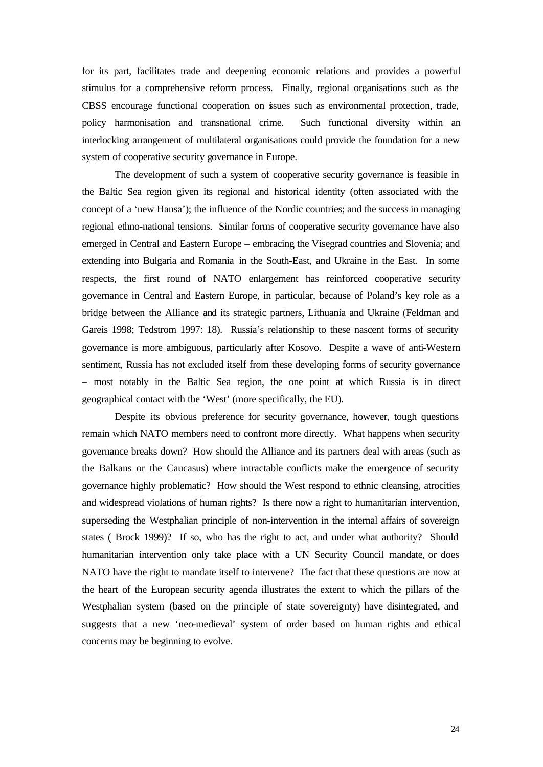for its part, facilitates trade and deepening economic relations and provides a powerful stimulus for a comprehensive reform process. Finally, regional organisations such as the CBSS encourage functional cooperation on issues such as environmental protection, trade, policy harmonisation and transnational crime. Such functional diversity within an interlocking arrangement of multilateral organisations could provide the foundation for a new system of cooperative security governance in Europe.

The development of such a system of cooperative security governance is feasible in the Baltic Sea region given its regional and historical identity (often associated with the concept of a 'new Hansa'); the influence of the Nordic countries; and the success in managing regional ethno-national tensions. Similar forms of cooperative security governance have also emerged in Central and Eastern Europe – embracing the Visegrad countries and Slovenia; and extending into Bulgaria and Romania in the South-East, and Ukraine in the East. In some respects, the first round of NATO enlargement has reinforced cooperative security governance in Central and Eastern Europe, in particular, because of Poland's key role as a bridge between the Alliance and its strategic partners, Lithuania and Ukraine (Feldman and Gareis 1998; Tedstrom 1997: 18). Russia's relationship to these nascent forms of security governance is more ambiguous, particularly after Kosovo. Despite a wave of anti-Western sentiment, Russia has not excluded itself from these developing forms of security governance – most notably in the Baltic Sea region, the one point at which Russia is in direct geographical contact with the 'West' (more specifically, the EU).

Despite its obvious preference for security governance, however, tough questions remain which NATO members need to confront more directly. What happens when security governance breaks down? How should the Alliance and its partners deal with areas (such as the Balkans or the Caucasus) where intractable conflicts make the emergence of security governance highly problematic? How should the West respond to ethnic cleansing, atrocities and widespread violations of human rights? Is there now a right to humanitarian intervention, superseding the Westphalian principle of non-intervention in the internal affairs of sovereign states ( Brock 1999)? If so, who has the right to act, and under what authority? Should humanitarian intervention only take place with a UN Security Council mandate, or does NATO have the right to mandate itself to intervene? The fact that these questions are now at the heart of the European security agenda illustrates the extent to which the pillars of the Westphalian system (based on the principle of state sovereignty) have disintegrated, and suggests that a new 'neo-medieval' system of order based on human rights and ethical concerns may be beginning to evolve.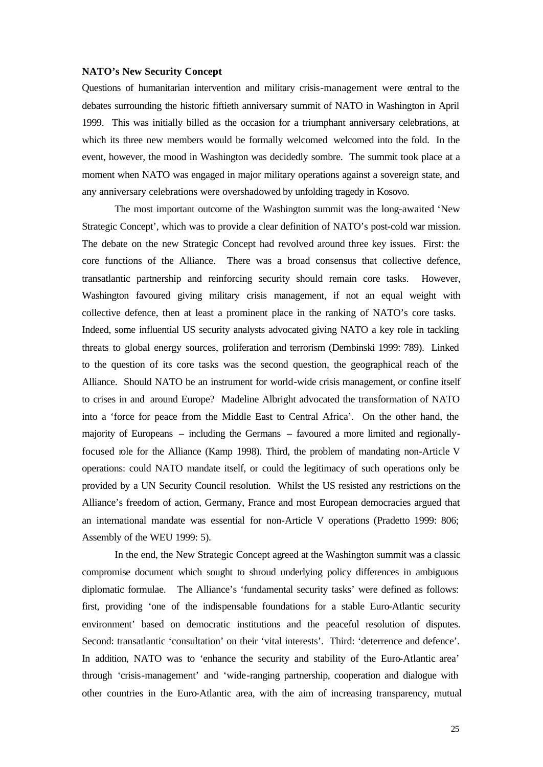#### **NATO's New Security Concept**

Questions of humanitarian intervention and military crisis-management were central to the debates surrounding the historic fiftieth anniversary summit of NATO in Washington in April 1999. This was initially billed as the occasion for a triumphant anniversary celebrations, at which its three new members would be formally welcomed welcomed into the fold. In the event, however, the mood in Washington was decidedly sombre. The summit took place at a moment when NATO was engaged in major military operations against a sovereign state, and any anniversary celebrations were overshadowed by unfolding tragedy in Kosovo.

The most important outcome of the Washington summit was the long-awaited 'New Strategic Concept', which was to provide a clear definition of NATO's post-cold war mission. The debate on the new Strategic Concept had revolved around three key issues. First: the core functions of the Alliance. There was a broad consensus that collective defence, transatlantic partnership and reinforcing security should remain core tasks. However, Washington favoured giving military crisis management, if not an equal weight with collective defence, then at least a prominent place in the ranking of NATO's core tasks. Indeed, some influential US security analysts advocated giving NATO a key role in tackling threats to global energy sources, proliferation and terrorism (Dembinski 1999: 789). Linked to the question of its core tasks was the second question, the geographical reach of the Alliance. Should NATO be an instrument for world-wide crisis management, or confine itself to crises in and around Europe? Madeline Albright advocated the transformation of NATO into a 'force for peace from the Middle East to Central Africa'. On the other hand, the majority of Europeans – including the Germans – favoured a more limited and regionallyfocused role for the Alliance (Kamp 1998). Third, the problem of mandating non-Article V operations: could NATO mandate itself, or could the legitimacy of such operations only be provided by a UN Security Council resolution. Whilst the US resisted any restrictions on the Alliance's freedom of action, Germany, France and most European democracies argued that an international mandate was essential for non-Article V operations (Pradetto 1999: 806; Assembly of the WEU 1999: 5).

In the end, the New Strategic Concept agreed at the Washington summit was a classic compromise document which sought to shroud underlying policy differences in ambiguous diplomatic formulae. The Alliance's 'fundamental security tasks' were defined as follows: first, providing 'one of the indispensable foundations for a stable Euro-Atlantic security environment' based on democratic institutions and the peaceful resolution of disputes. Second: transatlantic 'consultation' on their 'vital interests'. Third: 'deterrence and defence'. In addition, NATO was to 'enhance the security and stability of the Euro-Atlantic area' through 'crisis-management' and 'wide-ranging partnership, cooperation and dialogue with other countries in the Euro-Atlantic area, with the aim of increasing transparency, mutual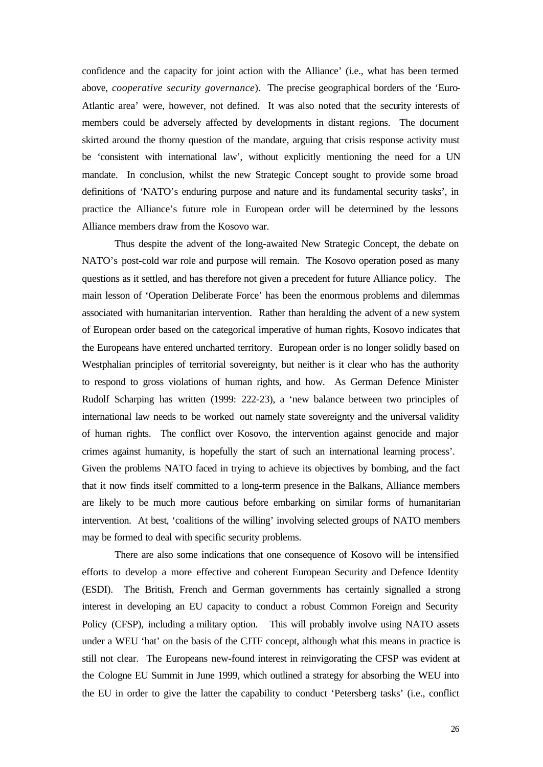confidence and the capacity for joint action with the Alliance' (i.e., what has been termed above, *cooperative security governance*). The precise geographical borders of the 'Euro-Atlantic area' were, however, not defined. It was also noted that the security interests of members could be adversely affected by developments in distant regions. The document skirted around the thorny question of the mandate, arguing that crisis response activity must be 'consistent with international law', without explicitly mentioning the need for a UN mandate. In conclusion, whilst the new Strategic Concept sought to provide some broad definitions of 'NATO's enduring purpose and nature and its fundamental security tasks', in practice the Alliance's future role in European order will be determined by the lessons Alliance members draw from the Kosovo war.

Thus despite the advent of the long-awaited New Strategic Concept, the debate on NATO's post-cold war role and purpose will remain. The Kosovo operation posed as many questions as it settled, and has therefore not given a precedent for future Alliance policy. The main lesson of 'Operation Deliberate Force' has been the enormous problems and dilemmas associated with humanitarian intervention. Rather than heralding the advent of a new system of European order based on the categorical imperative of human rights, Kosovo indicates that the Europeans have entered uncharted territory. European order is no longer solidly based on Westphalian principles of territorial sovereignty, but neither is it clear who has the authority to respond to gross violations of human rights, and how. As German Defence Minister Rudolf Scharping has written (1999: 222-23), a 'new balance between two principles of international law needs to be worked out namely state sovereignty and the universal validity of human rights. The conflict over Kosovo, the intervention against genocide and major crimes against humanity, is hopefully the start of such an international learning process'. Given the problems NATO faced in trying to achieve its objectives by bombing, and the fact that it now finds itself committed to a long-term presence in the Balkans, Alliance members are likely to be much more cautious before embarking on similar forms of humanitarian intervention. At best, 'coalitions of the willing' involving selected groups of NATO members may be formed to deal with specific security problems.

There are also some indications that one consequence of Kosovo will be intensified efforts to develop a more effective and coherent European Security and Defence Identity (ESDI). The British, French and German governments has certainly signalled a strong interest in developing an EU capacity to conduct a robust Common Foreign and Security Policy (CFSP), including a military option. This will probably involve using NATO assets under a WEU 'hat' on the basis of the CJTF concept, although what this means in practice is still not clear. The Europeans new-found interest in reinvigorating the CFSP was evident at the Cologne EU Summit in June 1999, which outlined a strategy for absorbing the WEU into the EU in order to give the latter the capability to conduct 'Petersberg tasks' (i.e., conflict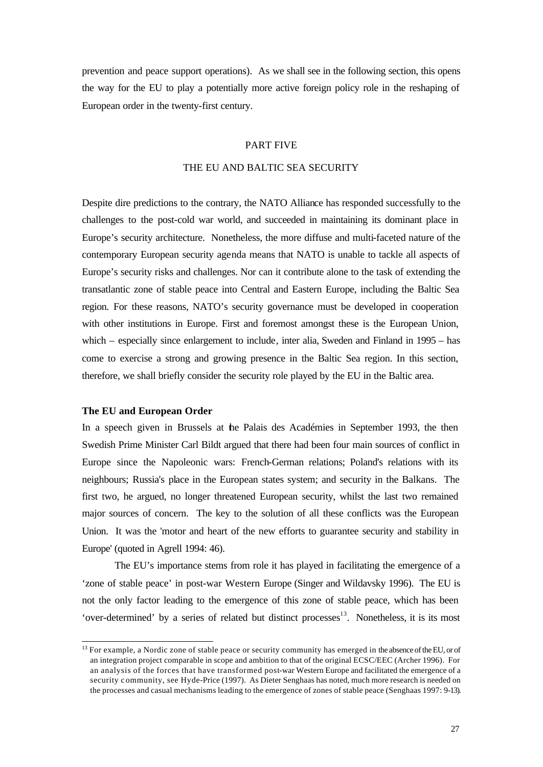prevention and peace support operations). As we shall see in the following section, this opens the way for the EU to play a potentially more active foreign policy role in the reshaping of European order in the twenty-first century.

#### PART FIVE

#### THE EU AND BALTIC SEA SECURITY

Despite dire predictions to the contrary, the NATO Alliance has responded successfully to the challenges to the post-cold war world, and succeeded in maintaining its dominant place in Europe's security architecture. Nonetheless, the more diffuse and multi-faceted nature of the contemporary European security agenda means that NATO is unable to tackle all aspects of Europe's security risks and challenges. Nor can it contribute alone to the task of extending the transatlantic zone of stable peace into Central and Eastern Europe, including the Baltic Sea region. For these reasons, NATO's security governance must be developed in cooperation with other institutions in Europe. First and foremost amongst these is the European Union, which – especially since enlargement to include, inter alia, Sweden and Finland in 1995 – has come to exercise a strong and growing presence in the Baltic Sea region. In this section, therefore, we shall briefly consider the security role played by the EU in the Baltic area.

#### **The EU and European Order**

l

In a speech given in Brussels at the Palais des Académies in September 1993, the then Swedish Prime Minister Carl Bildt argued that there had been four main sources of conflict in Europe since the Napoleonic wars: French-German relations; Poland's relations with its neighbours; Russia's place in the European states system; and security in the Balkans. The first two, he argued, no longer threatened European security, whilst the last two remained major sources of concern. The key to the solution of all these conflicts was the European Union. It was the 'motor and heart of the new efforts to guarantee security and stability in Europe' (quoted in Agrell 1994: 46).

The EU's importance stems from role it has played in facilitating the emergence of a 'zone of stable peace' in post-war Western Europe (Singer and Wildavsky 1996). The EU is not the only factor leading to the emergence of this zone of stable peace, which has been 'over-determined' by a series of related but distinct processes $13$ . Nonetheless, it is its most

<sup>&</sup>lt;sup>13</sup> For example, a Nordic zone of stable peace or security community has emerged in the absence of the EU, or of an integration project comparable in scope and ambition to that of the original ECSC/EEC (Archer 1996). For an analysis of the forces that have transformed post-war Western Europe and facilitated the emergence of a security c ommunity, see Hyde-Price (1997). As Dieter Senghaas has noted, much more research is needed on the processes and casual mechanisms leading to the emergence of zones of stable peace (Senghaas 1997: 9-13).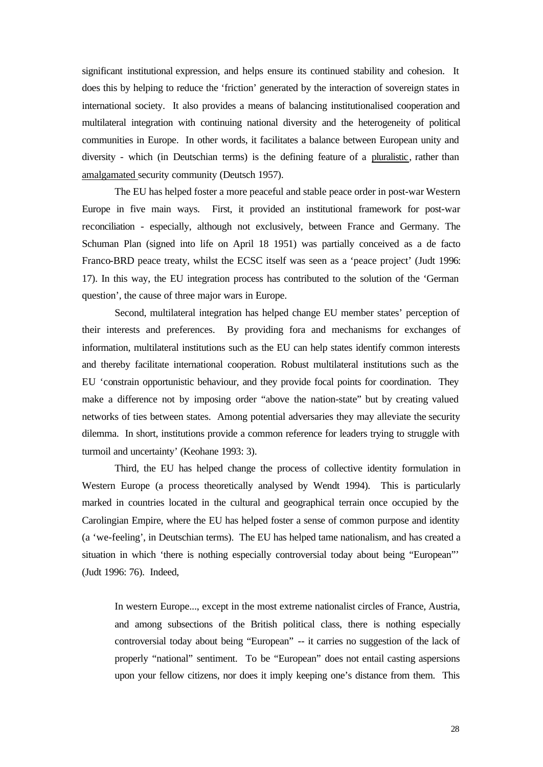significant institutional expression, and helps ensure its continued stability and cohesion. It does this by helping to reduce the 'friction' generated by the interaction of sovereign states in international society. It also provides a means of balancing institutionalised cooperation and multilateral integration with continuing national diversity and the heterogeneity of political communities in Europe. In other words, it facilitates a balance between European unity and diversity - which (in Deutschian terms) is the defining feature of a pluralistic, rather than amalgamated security community (Deutsch 1957).

The EU has helped foster a more peaceful and stable peace order in post-war Western Europe in five main ways. First, it provided an institutional framework for post-war reconciliation - especially, although not exclusively, between France and Germany. The Schuman Plan (signed into life on April 18 1951) was partially conceived as a de facto Franco-BRD peace treaty, whilst the ECSC itself was seen as a 'peace project' (Judt 1996: 17). In this way, the EU integration process has contributed to the solution of the 'German question', the cause of three major wars in Europe.

Second, multilateral integration has helped change EU member states' perception of their interests and preferences. By providing fora and mechanisms for exchanges of information, multilateral institutions such as the EU can help states identify common interests and thereby facilitate international cooperation. Robust multilateral institutions such as the EU 'constrain opportunistic behaviour, and they provide focal points for coordination. They make a difference not by imposing order "above the nation-state" but by creating valued networks of ties between states. Among potential adversaries they may alleviate the security dilemma. In short, institutions provide a common reference for leaders trying to struggle with turmoil and uncertainty' (Keohane 1993: 3).

Third, the EU has helped change the process of collective identity formulation in Western Europe (a process theoretically analysed by Wendt 1994). This is particularly marked in countries located in the cultural and geographical terrain once occupied by the Carolingian Empire, where the EU has helped foster a sense of common purpose and identity (a 'we-feeling', in Deutschian terms). The EU has helped tame nationalism, and has created a situation in which 'there is nothing especially controversial today about being "European"' (Judt 1996: 76). Indeed,

In western Europe..., except in the most extreme nationalist circles of France, Austria, and among subsections of the British political class, there is nothing especially controversial today about being "European" -- it carries no suggestion of the lack of properly "national" sentiment. To be "European" does not entail casting aspersions upon your fellow citizens, nor does it imply keeping one's distance from them. This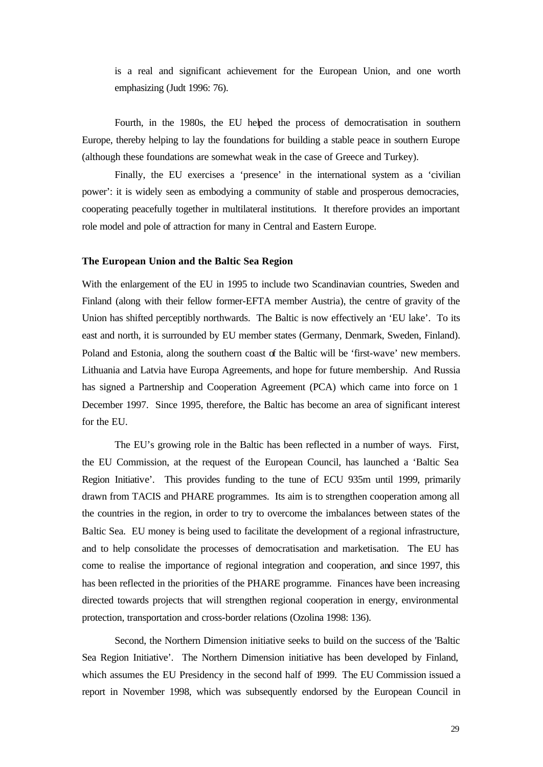is a real and significant achievement for the European Union, and one worth emphasizing (Judt 1996: 76).

Fourth, in the 1980s, the EU helped the process of democratisation in southern Europe, thereby helping to lay the foundations for building a stable peace in southern Europe (although these foundations are somewhat weak in the case of Greece and Turkey).

Finally, the EU exercises a 'presence' in the international system as a 'civilian power': it is widely seen as embodying a community of stable and prosperous democracies, cooperating peacefully together in multilateral institutions. It therefore provides an important role model and pole of attraction for many in Central and Eastern Europe.

#### **The European Union and the Baltic Sea Region**

With the enlargement of the EU in 1995 to include two Scandinavian countries, Sweden and Finland (along with their fellow former-EFTA member Austria), the centre of gravity of the Union has shifted perceptibly northwards. The Baltic is now effectively an 'EU lake'. To its east and north, it is surrounded by EU member states (Germany, Denmark, Sweden, Finland). Poland and Estonia, along the southern coast of the Baltic will be 'first-wave' new members. Lithuania and Latvia have Europa Agreements, and hope for future membership. And Russia has signed a Partnership and Cooperation Agreement (PCA) which came into force on 1 December 1997. Since 1995, therefore, the Baltic has become an area of significant interest for the EU.

The EU's growing role in the Baltic has been reflected in a number of ways. First, the EU Commission, at the request of the European Council, has launched a 'Baltic Sea Region Initiative'. This provides funding to the tune of ECU 935m until 1999, primarily drawn from TACIS and PHARE programmes. Its aim is to strengthen cooperation among all the countries in the region, in order to try to overcome the imbalances between states of the Baltic Sea. EU money is being used to facilitate the development of a regional infrastructure, and to help consolidate the processes of democratisation and marketisation. The EU has come to realise the importance of regional integration and cooperation, and since 1997, this has been reflected in the priorities of the PHARE programme. Finances have been increasing directed towards projects that will strengthen regional cooperation in energy, environmental protection, transportation and cross-border relations (Ozolina 1998: 136).

Second, the Northern Dimension initiative seeks to build on the success of the 'Baltic Sea Region Initiative'. The Northern Dimension initiative has been developed by Finland, which assumes the EU Presidency in the second half of 1999. The EU Commission issued a report in November 1998, which was subsequently endorsed by the European Council in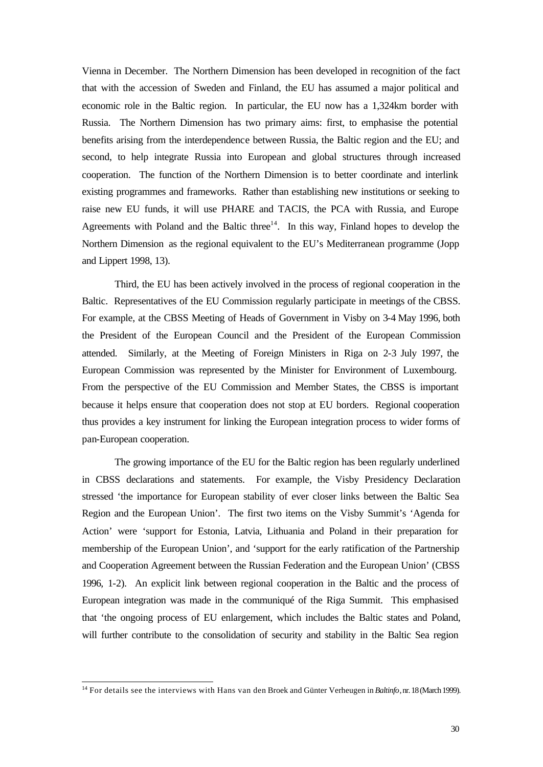Vienna in December. The Northern Dimension has been developed in recognition of the fact that with the accession of Sweden and Finland, the EU has assumed a major political and economic role in the Baltic region. In particular, the EU now has a 1,324km border with Russia. The Northern Dimension has two primary aims: first, to emphasise the potential benefits arising from the interdependence between Russia, the Baltic region and the EU; and second, to help integrate Russia into European and global structures through increased cooperation. The function of the Northern Dimension is to better coordinate and interlink existing programmes and frameworks. Rather than establishing new institutions or seeking to raise new EU funds, it will use PHARE and TACIS, the PCA with Russia, and Europe Agreements with Poland and the Baltic three<sup>14</sup>. In this way, Finland hopes to develop the Northern Dimension as the regional equivalent to the EU's Mediterranean programme (Jopp and Lippert 1998, 13).

Third, the EU has been actively involved in the process of regional cooperation in the Baltic. Representatives of the EU Commission regularly participate in meetings of the CBSS. For example, at the CBSS Meeting of Heads of Government in Visby on 3-4 May 1996, both the President of the European Council and the President of the European Commission attended. Similarly, at the Meeting of Foreign Ministers in Riga on 2-3 July 1997, the European Commission was represented by the Minister for Environment of Luxembourg. From the perspective of the EU Commission and Member States, the CBSS is important because it helps ensure that cooperation does not stop at EU borders. Regional cooperation thus provides a key instrument for linking the European integration process to wider forms of pan-European cooperation.

The growing importance of the EU for the Baltic region has been regularly underlined in CBSS declarations and statements. For example, the Visby Presidency Declaration stressed 'the importance for European stability of ever closer links between the Baltic Sea Region and the European Union'. The first two items on the Visby Summit's 'Agenda for Action' were 'support for Estonia, Latvia, Lithuania and Poland in their preparation for membership of the European Union', and 'support for the early ratification of the Partnership and Cooperation Agreement between the Russian Federation and the European Union' (CBSS 1996, 1-2). An explicit link between regional cooperation in the Baltic and the process of European integration was made in the communiqué of the Riga Summit. This emphasised that 'the ongoing process of EU enlargement, which includes the Baltic states and Poland, will further contribute to the consolidation of security and stability in the Baltic Sea region

<sup>14</sup> For details see the interviews with Hans van den Broek and Günter Verheugen in *Baltinfo*, nr. 18 (March 1999).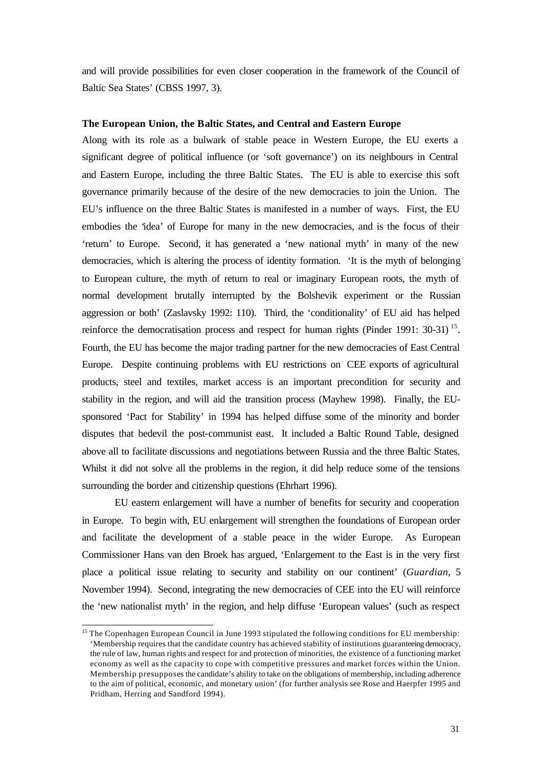and will provide possibilities for even closer cooperation in the framework of the Council of Baltic Sea States' (CBSS 1997, 3).

#### **The European Union, the Baltic States, and Central and Eastern Europe**

Along with its role as a bulwark of stable peace in Western Europe, the EU exerts a significant degree of political influence (or 'soft governance') on its neighbours in Central and Eastern Europe, including the three Baltic States. The EU is able to exercise this soft governance primarily because of the desire of the new democracies to join the Union. The EU's influence on the three Baltic States is manifested in a number of ways. First, the EU embodies the 'idea' of Europe for many in the new democracies, and is the focus of their 'return' to Europe. Second, it has generated a 'new national myth' in many of the new democracies, which is altering the process of identity formation. 'It is the myth of belonging to European culture, the myth of return to real or imaginary European roots, the myth of normal development brutally interrupted by the Bolshevik experiment or the Russian aggression or both' (Zaslavsky 1992: 110). Third, the 'conditionality' of EU aid has helped reinforce the democratisation process and respect for human rights (Pinder 1991:  $30-31$ )<sup>15</sup>. Fourth, the EU has become the major trading partner for the new democracies of East Central Europe. Despite continuing problems with EU restrictions on CEE exports of agricultural products, steel and textiles, market access is an important precondition for security and stability in the region, and will aid the transition process (Mayhew 1998). Finally, the EUsponsored 'Pact for Stability' in 1994 has helped diffuse some of the minority and border disputes that bedevil the post-communist east. It included a Baltic Round Table, designed above all to facilitate discussions and negotiations between Russia and the three Baltic States. Whilst it did not solve all the problems in the region, it did help reduce some of the tensions surrounding the border and citizenship questions (Ehrhart 1996).

EU eastern enlargement will have a number of benefits for security and cooperation in Europe. To begin with, EU enlargement will strengthen the foundations of European order and facilitate the development of a stable peace in the wider Europe. As European Commissioner Hans van den Broek has argued, 'Enlargement to the East is in the very first place a political issue relating to security and stability on our continent' (*Guardian*, 5 November 1994). Second, integrating the new democracies of CEE into the EU will reinforce the 'new nationalist myth' in the region, and help diffuse 'European values' (such as respect

<sup>&</sup>lt;sup>15</sup> The Copenhagen European Council in June 1993 stipulated the following conditions for EU membership: 'Membership requires that the candidate country has achieved stability of institutions guaranteeing democracy, the rule of law, human rights and respect for and protection of minorities, the existence of a functioning market economy as well as the capacity to cope with competitive pressures and market forces within the Union. Membership presupposes the candidate's ability to take on the obligations of membership, including adherence to the aim of political, economic, and monetary union' (for further analysis see Rose and Haerpfer 1995 and Pridham, Herring and Sandford 1994).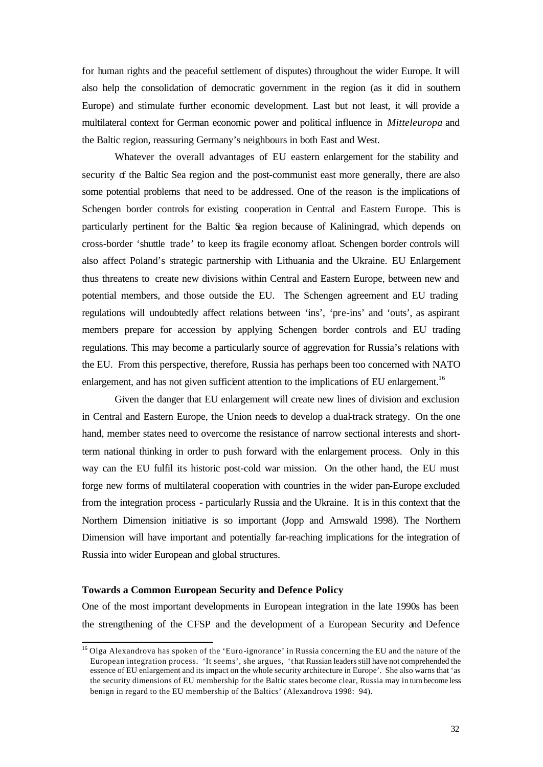for human rights and the peaceful settlement of disputes) throughout the wider Europe. It will also help the consolidation of democratic government in the region (as it did in southern Europe) and stimulate further economic development. Last but not least, it will provide a multilateral context for German economic power and political influence in *Mitteleuropa* and the Baltic region, reassuring Germany's neighbours in both East and West.

Whatever the overall advantages of EU eastern enlargement for the stability and security of the Baltic Sea region and the post-communist east more generally, there are also some potential problems that need to be addressed. One of the reason is the implications of Schengen border controls for existing cooperation in Central and Eastern Europe. This is particularly pertinent for the Baltic Sea region because of Kaliningrad, which depends on cross-border 'shuttle trade' to keep its fragile economy afloat. Schengen border controls will also affect Poland's strategic partnership with Lithuania and the Ukraine. EU Enlargement thus threatens to create new divisions within Central and Eastern Europe, between new and potential members, and those outside the EU. The Schengen agreement and EU trading regulations will undoubtedly affect relations between 'ins', 'pre-ins' and 'outs', as aspirant members prepare for accession by applying Schengen border controls and EU trading regulations. This may become a particularly source of aggrevation for Russia's relations with the EU. From this perspective, therefore, Russia has perhaps been too concerned with NATO enlargement, and has not given sufficient attention to the implications of EU enlargement.<sup>16</sup>

Given the danger that EU enlargement will create new lines of division and exclusion in Central and Eastern Europe, the Union needs to develop a dual-track strategy. On the one hand, member states need to overcome the resistance of narrow sectional interests and shortterm national thinking in order to push forward with the enlargement process. Only in this way can the EU fulfil its historic post-cold war mission. On the other hand, the EU must forge new forms of multilateral cooperation with countries in the wider pan-Europe excluded from the integration process - particularly Russia and the Ukraine. It is in this context that the Northern Dimension initiative is so important (Jopp and Arnswald 1998). The Northern Dimension will have important and potentially far-reaching implications for the integration of Russia into wider European and global structures.

#### **Towards a Common European Security and Defence Policy**

l

One of the most important developments in European integration in the late 1990s has been the strengthening of the CFSP and the development of a European Security and Defence

<sup>&</sup>lt;sup>16</sup> Olga Alexandrova has spoken of the 'Euro-ignorance' in Russia concerning the EU and the nature of the European integration process. 'It seems', she argues, 't hat Russian leaders still have not comprehended the essence of EU enlargement and its impact on the whole security architecture in Europe'. She also warns that 'as the security dimensions of EU membership for the Baltic states become clear, Russia may in turn become less benign in regard to the EU membership of the Baltics' (Alexandrova 1998: 94).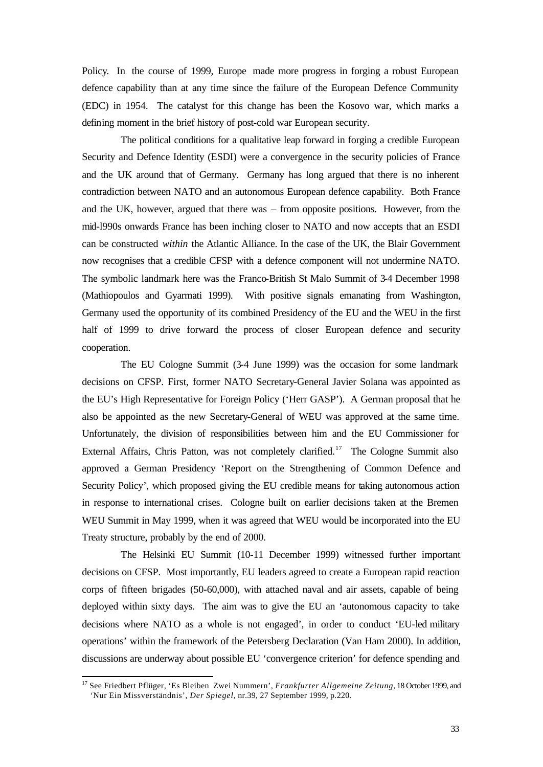Policy. In the course of 1999, Europe made more progress in forging a robust European defence capability than at any time since the failure of the European Defence Community (EDC) in 1954. The catalyst for this change has been the Kosovo war, which marks a defining moment in the brief history of post-cold war European security.

The political conditions for a qualitative leap forward in forging a credible European Security and Defence Identity (ESDI) were a convergence in the security policies of France and the UK around that of Germany. Germany has long argued that there is no inherent contradiction between NATO and an autonomous European defence capability. Both France and the UK, however, argued that there was – from opposite positions. However, from the mid-l990s onwards France has been inching closer to NATO and now accepts that an ESDI can be constructed *within* the Atlantic Alliance. In the case of the UK, the Blair Government now recognises that a credible CFSP with a defence component will not undermine NATO. The symbolic landmark here was the Franco-British St Malo Summit of 3-4 December 1998 (Mathiopoulos and Gyarmati 1999). With positive signals emanating from Washington, Germany used the opportunity of its combined Presidency of the EU and the WEU in the first half of 1999 to drive forward the process of closer European defence and security cooperation.

The EU Cologne Summit (3-4 June 1999) was the occasion for some landmark decisions on CFSP. First, former NATO Secretary-General Javier Solana was appointed as the EU's High Representative for Foreign Policy ('Herr GASP'). A German proposal that he also be appointed as the new Secretary-General of WEU was approved at the same time. Unfortunately, the division of responsibilities between him and the EU Commissioner for External Affairs, Chris Patton, was not completely clarified.<sup>17</sup> The Cologne Summit also approved a German Presidency 'Report on the Strengthening of Common Defence and Security Policy', which proposed giving the EU credible means for taking autonomous action in response to international crises. Cologne built on earlier decisions taken at the Bremen WEU Summit in May 1999, when it was agreed that WEU would be incorporated into the EU Treaty structure, probably by the end of 2000.

The Helsinki EU Summit (10-11 December 1999) witnessed further important decisions on CFSP. Most importantly, EU leaders agreed to create a European rapid reaction corps of fifteen brigades (50-60,000), with attached naval and air assets, capable of being deployed within sixty days. The aim was to give the EU an 'autonomous capacity to take decisions where NATO as a whole is not engaged', in order to conduct 'EU-led military operations' within the framework of the Petersberg Declaration (Van Ham 2000). In addition, discussions are underway about possible EU 'convergence criterion' for defence spending and

<sup>17</sup> See Friedbert Pflüger, 'Es Bleiben Zwei Nummern', *Frankfurter Allgemeine Zeitung*, 18 October 1999, and 'Nur Ein Missverständnis', *Der Spiegel*, nr.39, 27 September 1999, p.220.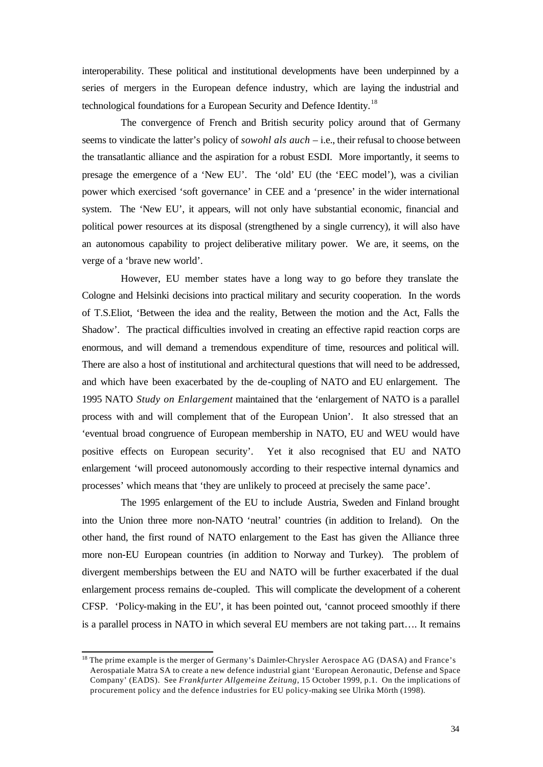interoperability. These political and institutional developments have been underpinned by a series of mergers in the European defence industry, which are laying the industrial and technological foundations for a European Security and Defence Identity.<sup>18</sup>

The convergence of French and British security policy around that of Germany seems to vindicate the latter's policy of *sowohl als auch* – i.e., their refusal to choose between the transatlantic alliance and the aspiration for a robust ESDI. More importantly, it seems to presage the emergence of a 'New EU'. The 'old' EU (the 'EEC model'), was a civilian power which exercised 'soft governance' in CEE and a 'presence' in the wider international system. The 'New EU', it appears, will not only have substantial economic, financial and political power resources at its disposal (strengthened by a single currency), it will also have an autonomous capability to project deliberative military power. We are, it seems, on the verge of a 'brave new world'.

However, EU member states have a long way to go before they translate the Cologne and Helsinki decisions into practical military and security cooperation. In the words of T.S.Eliot, 'Between the idea and the reality, Between the motion and the Act, Falls the Shadow'. The practical difficulties involved in creating an effective rapid reaction corps are enormous, and will demand a tremendous expenditure of time, resources and political will. There are also a host of institutional and architectural questions that will need to be addressed, and which have been exacerbated by the de-coupling of NATO and EU enlargement. The 1995 NATO *Study on Enlargement* maintained that the 'enlargement of NATO is a parallel process with and will complement that of the European Union'. It also stressed that an 'eventual broad congruence of European membership in NATO, EU and WEU would have positive effects on European security'. Yet it also recognised that EU and NATO enlargement 'will proceed autonomously according to their respective internal dynamics and processes' which means that 'they are unlikely to proceed at precisely the same pace'.

The 1995 enlargement of the EU to include Austria, Sweden and Finland brought into the Union three more non-NATO 'neutral' countries (in addition to Ireland). On the other hand, the first round of NATO enlargement to the East has given the Alliance three more non-EU European countries (in addition to Norway and Turkey). The problem of divergent memberships between the EU and NATO will be further exacerbated if the dual enlargement process remains de-coupled. This will complicate the development of a coherent CFSP. 'Policy-making in the EU', it has been pointed out, 'cannot proceed smoothly if there is a parallel process in NATO in which several EU members are not taking part…. It remains

<sup>&</sup>lt;sup>18</sup> The prime example is the merger of Germany's Daimler-Chrysler Aerospace AG (DASA) and France's Aerospatiale Matra SA to create a new defence industrial giant 'European Aeronautic, Defense and Space Company' (EADS). See *Frankfurter Allgemeine Zeitung*, 15 October 1999, p.1. On the implications of procurement policy and the defence industries for EU policy-making see Ulrika Mörth (1998).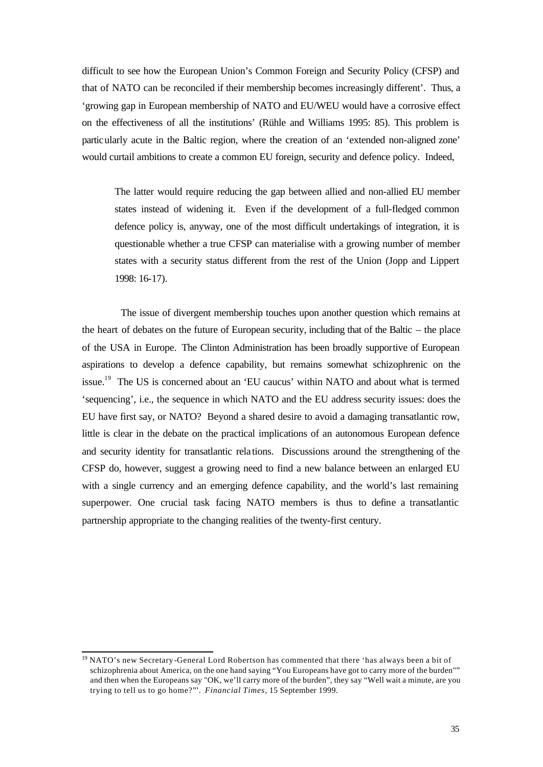difficult to see how the European Union's Common Foreign and Security Policy (CFSP) and that of NATO can be reconciled if their membership becomes increasingly different'. Thus, a 'growing gap in European membership of NATO and EU/WEU would have a corrosive effect on the effectiveness of all the institutions' (Rühle and Williams 1995: 85). This problem is particularly acute in the Baltic region, where the creation of an 'extended non-aligned zone' would curtail ambitions to create a common EU foreign, security and defence policy. Indeed,

The latter would require reducing the gap between allied and non-allied EU member states instead of widening it. Even if the development of a full-fledged common defence policy is, anyway, one of the most difficult undertakings of integration, it is questionable whether a true CFSP can materialise with a growing number of member states with a security status different from the rest of the Union (Jopp and Lippert 1998: 16-17).

The issue of divergent membership touches upon another question which remains at the heart of debates on the future of European security, including that of the Baltic – the place of the USA in Europe. The Clinton Administration has been broadly supportive of European aspirations to develop a defence capability, but remains somewhat schizophrenic on the issue.<sup>19</sup> The US is concerned about an 'EU caucus' within NATO and about what is termed 'sequencing', i.e., the sequence in which NATO and the EU address security issues: does the EU have first say, or NATO? Beyond a shared desire to avoid a damaging transatlantic row, little is clear in the debate on the practical implications of an autonomous European defence and security identity for transatlantic rela tions. Discussions around the strengthening of the CFSP do, however, suggest a growing need to find a new balance between an enlarged EU with a single currency and an emerging defence capability, and the world's last remaining superpower. One crucial task facing NATO members is thus to define a transatlantic partnership appropriate to the changing realities of the twenty-first century.

<sup>&</sup>lt;sup>19</sup> NATO's new Secretary-General Lord Robertson has commented that there 'has always been a bit of schizophrenia about America, on the one hand saying "You Europeans have got to carry more of the burden"" and then when the Europeans say "OK, we'll carry more of the burden", they say "Well wait a minute, are you trying to tell us to go home?"'. *Financial Times*, 15 September 1999.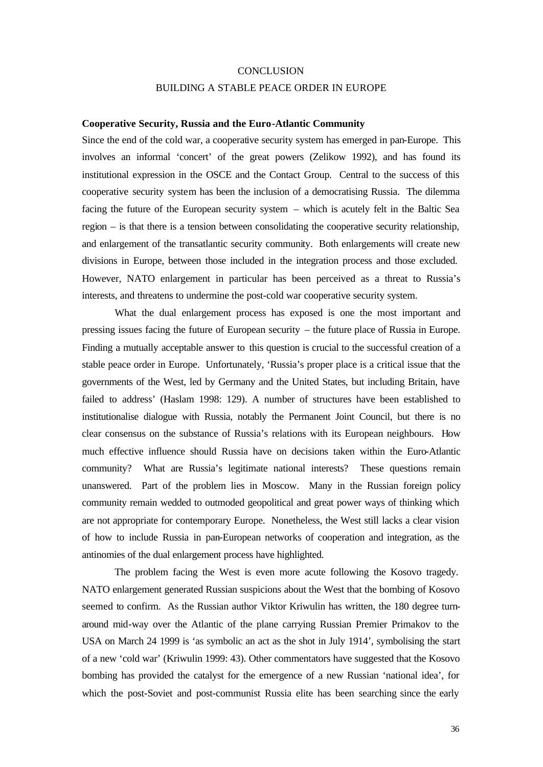#### **CONCLUSION**

#### BUILDING A STABLE PEACE ORDER IN EUROPE

#### **Cooperative Security, Russia and the Euro-Atlantic Community**

Since the end of the cold war, a cooperative security system has emerged in pan-Europe. This involves an informal 'concert' of the great powers (Zelikow 1992), and has found its institutional expression in the OSCE and the Contact Group. Central to the success of this cooperative security system has been the inclusion of a democratising Russia. The dilemma facing the future of the European security system – which is acutely felt in the Baltic Sea region – is that there is a tension between consolidating the cooperative security relationship, and enlargement of the transatlantic security community. Both enlargements will create new divisions in Europe, between those included in the integration process and those excluded. However, NATO enlargement in particular has been perceived as a threat to Russia's interests, and threatens to undermine the post-cold war cooperative security system.

What the dual enlargement process has exposed is one the most important and pressing issues facing the future of European security – the future place of Russia in Europe. Finding a mutually acceptable answer to this question is crucial to the successful creation of a stable peace order in Europe. Unfortunately, 'Russia's proper place is a critical issue that the governments of the West, led by Germany and the United States, but including Britain, have failed to address' (Haslam 1998: 129). A number of structures have been established to institutionalise dialogue with Russia, notably the Permanent Joint Council, but there is no clear consensus on the substance of Russia's relations with its European neighbours. How much effective influence should Russia have on decisions taken within the Euro-Atlantic community? What are Russia's legitimate national interests? These questions remain unanswered. Part of the problem lies in Moscow. Many in the Russian foreign policy community remain wedded to outmoded geopolitical and great power ways of thinking which are not appropriate for contemporary Europe. Nonetheless, the West still lacks a clear vision of how to include Russia in pan-European networks of cooperation and integration, as the antinomies of the dual enlargement process have highlighted.

The problem facing the West is even more acute following the Kosovo tragedy. NATO enlargement generated Russian suspicions about the West that the bombing of Kosovo seemed to confirm. As the Russian author Viktor Kriwulin has written, the 180 degree turnaround mid-way over the Atlantic of the plane carrying Russian Premier Primakov to the USA on March 24 1999 is 'as symbolic an act as the shot in July 1914', symbolising the start of a new 'cold war' (Kriwulin 1999: 43). Other commentators have suggested that the Kosovo bombing has provided the catalyst for the emergence of a new Russian 'national idea', for which the post-Soviet and post-communist Russia elite has been searching since the early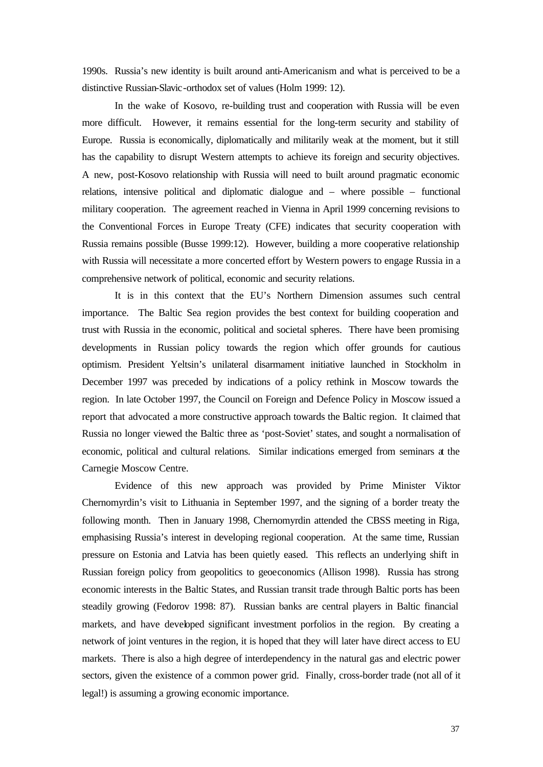1990s. Russia's new identity is built around anti-Americanism and what is perceived to be a distinctive Russian-Slavic-orthodox set of values (Holm 1999: 12).

In the wake of Kosovo, re-building trust and cooperation with Russia will be even more difficult. However, it remains essential for the long-term security and stability of Europe. Russia is economically, diplomatically and militarily weak at the moment, but it still has the capability to disrupt Western attempts to achieve its foreign and security objectives. A new, post-Kosovo relationship with Russia will need to built around pragmatic economic relations, intensive political and diplomatic dialogue and – where possible – functional military cooperation. The agreement reached in Vienna in April 1999 concerning revisions to the Conventional Forces in Europe Treaty (CFE) indicates that security cooperation with Russia remains possible (Busse 1999:12). However, building a more cooperative relationship with Russia will necessitate a more concerted effort by Western powers to engage Russia in a comprehensive network of political, economic and security relations.

It is in this context that the EU's Northern Dimension assumes such central importance. The Baltic Sea region provides the best context for building cooperation and trust with Russia in the economic, political and societal spheres. There have been promising developments in Russian policy towards the region which offer grounds for cautious optimism. President Yeltsin's unilateral disarmament initiative launched in Stockholm in December 1997 was preceded by indications of a policy rethink in Moscow towards the region. In late October 1997, the Council on Foreign and Defence Policy in Moscow issued a report that advocated a more constructive approach towards the Baltic region. It claimed that Russia no longer viewed the Baltic three as 'post-Soviet' states, and sought a normalisation of economic, political and cultural relations. Similar indications emerged from seminars at the Carnegie Moscow Centre.

Evidence of this new approach was provided by Prime Minister Viktor Chernomyrdin's visit to Lithuania in September 1997, and the signing of a border treaty the following month. Then in January 1998, Chernomyrdin attended the CBSS meeting in Riga, emphasising Russia's interest in developing regional cooperation. At the same time, Russian pressure on Estonia and Latvia has been quietly eased. This reflects an underlying shift in Russian foreign policy from geopolitics to geoeconomics (Allison 1998). Russia has strong economic interests in the Baltic States, and Russian transit trade through Baltic ports has been steadily growing (Fedorov 1998: 87). Russian banks are central players in Baltic financial markets, and have developed significant investment porfolios in the region. By creating a network of joint ventures in the region, it is hoped that they will later have direct access to EU markets. There is also a high degree of interdependency in the natural gas and electric power sectors, given the existence of a common power grid. Finally, cross-border trade (not all of it legal!) is assuming a growing economic importance.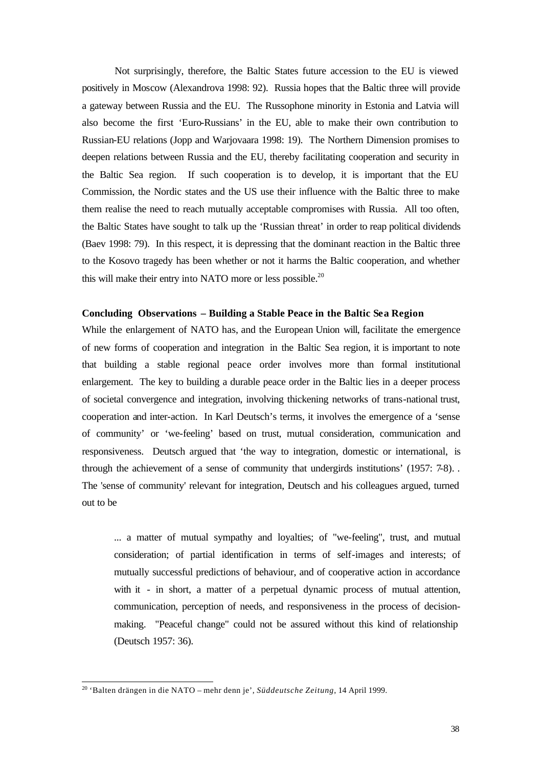Not surprisingly, therefore, the Baltic States future accession to the EU is viewed positively in Moscow (Alexandrova 1998: 92). Russia hopes that the Baltic three will provide a gateway between Russia and the EU. The Russophone minority in Estonia and Latvia will also become the first 'Euro-Russians' in the EU, able to make their own contribution to Russian-EU relations (Jopp and Warjovaara 1998: 19). The Northern Dimension promises to deepen relations between Russia and the EU, thereby facilitating cooperation and security in the Baltic Sea region. If such cooperation is to develop, it is important that the EU Commission, the Nordic states and the US use their influence with the Baltic three to make them realise the need to reach mutually acceptable compromises with Russia. All too often, the Baltic States have sought to talk up the 'Russian threat' in order to reap political dividends (Baev 1998: 79). In this respect, it is depressing that the dominant reaction in the Baltic three to the Kosovo tragedy has been whether or not it harms the Baltic cooperation, and whether this will make their entry into NATO more or less possible.<sup>20</sup>

#### **Concluding Observations – Building a Stable Peace in the Baltic Sea Region**

While the enlargement of NATO has, and the European Union will, facilitate the emergence of new forms of cooperation and integration in the Baltic Sea region, it is important to note that building a stable regional peace order involves more than formal institutional enlargement. The key to building a durable peace order in the Baltic lies in a deeper process of societal convergence and integration, involving thickening networks of trans-national trust, cooperation and inter-action. In Karl Deutsch's terms, it involves the emergence of a 'sense of community' or 'we-feeling' based on trust, mutual consideration, communication and responsiveness. Deutsch argued that 'the way to integration, domestic or international, is through the achievement of a sense of community that undergirds institutions' (1957: 7-8). . The 'sense of community' relevant for integration, Deutsch and his colleagues argued, turned out to be

... a matter of mutual sympathy and loyalties; of "we-feeling", trust, and mutual consideration; of partial identification in terms of self-images and interests; of mutually successful predictions of behaviour, and of cooperative action in accordance with it - in short, a matter of a perpetual dynamic process of mutual attention, communication, perception of needs, and responsiveness in the process of decisionmaking. "Peaceful change" could not be assured without this kind of relationship (Deutsch 1957: 36).

<sup>20</sup> 'Balten drängen in die NATO – mehr denn je', *Süddeutsche Zeitung*, 14 April 1999.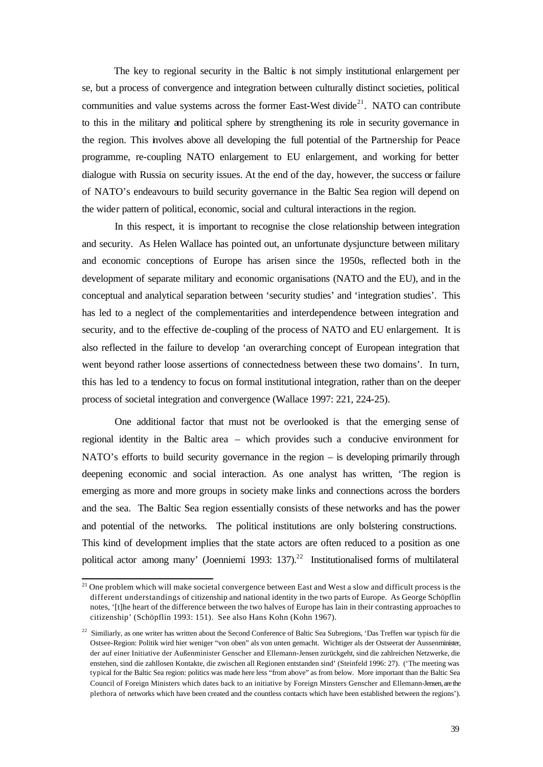The key to regional security in the Baltic is not simply institutional enlargement per se, but a process of convergence and integration between culturally distinct societies, political communities and value systems across the former East-West divide<sup>21</sup>. NATO can contribute to this in the military and political sphere by strengthening its role in security governance in the region. This involves above all developing the full potential of the Partnership for Peace programme, re-coupling NATO enlargement to EU enlargement, and working for better dialogue with Russia on security issues. At the end of the day, however, the success or failure of NATO's endeavours to build security governance in the Baltic Sea region will depend on the wider pattern of political, economic, social and cultural interactions in the region.

In this respect, it is important to recognise the close relationship between integration and security. As Helen Wallace has pointed out, an unfortunate dysjuncture between military and economic conceptions of Europe has arisen since the 1950s, reflected both in the development of separate military and economic organisations (NATO and the EU), and in the conceptual and analytical separation between 'security studies' and 'integration studies'. This has led to a neglect of the complementarities and interdependence between integration and security, and to the effective de-coupling of the process of NATO and EU enlargement. It is also reflected in the failure to develop 'an overarching concept of European integration that went beyond rather loose assertions of connectedness between these two domains'. In turn, this has led to a tendency to focus on formal institutional integration, rather than on the deeper process of societal integration and convergence (Wallace 1997: 221, 224-25).

One additional factor that must not be overlooked is that the emerging sense of regional identity in the Baltic area – which provides such a conducive environment for NATO's efforts to build security governance in the region – is developing primarily through deepening economic and social interaction. As one analyst has written, 'The region is emerging as more and more groups in society make links and connections across the borders and the sea. The Baltic Sea region essentially consists of these networks and has the power and potential of the networks. The political institutions are only bolstering constructions. This kind of development implies that the state actors are often reduced to a position as one political actor among many' (Joenniemi 1993: 137).<sup>22</sup> Institutionalised forms of multilateral

 $21$  One problem which will make societal convergence between East and West a slow and difficult process is the different understandings of citizenship and national identity in the two parts of Europe. As George Schöpflin notes, '[t]he heart of the difference between the two halves of Europe has lain in their contrasting approaches to citizenship' (Schöpflin 1993: 151). See also Hans Kohn (Kohn 1967).

<sup>&</sup>lt;sup>22</sup> Similiarly, as one writer has written about the Second Conference of Baltic Sea Subregions, 'Das Treffen war typisch für die Ostsee-Region: Politik wird hier weniger "von oben" als von unten gemacht. Wichtiger als der Ostseerat der Aussenminister, der auf einer Initiative der Außenminister Genscher and Ellemann-Jensen zurückgeht, sind die zahlreichen Netzwerke, die enstehen, sind die zahllosen Kontakte, die zwischen all Regionen entstanden sind' (Steinfeld 1996: 27). ('The meeting was typical for the Baltic Sea region: politics was made here less "from above" as from below. More important than the Baltic Sea Council of Foreign Ministers which dates back to an initiative by Foreign Minsters Genscher and Ellemann-Jensen, are the plethora of networks which have been created and the countless contacts which have been established between the regions').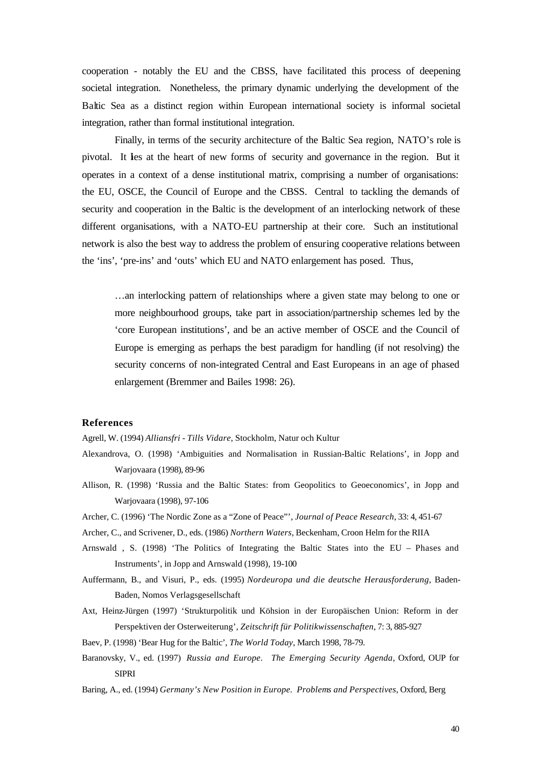cooperation - notably the EU and the CBSS, have facilitated this process of deepening societal integration. Nonetheless, the primary dynamic underlying the development of the Baltic Sea as a distinct region within European international society is informal societal integration, rather than formal institutional integration.

Finally, in terms of the security architecture of the Baltic Sea region, NATO's role is pivotal. It les at the heart of new forms of security and governance in the region. But it operates in a context of a dense institutional matrix, comprising a number of organisations: the EU, OSCE, the Council of Europe and the CBSS. Central to tackling the demands of security and cooperation in the Baltic is the development of an interlocking network of these different organisations, with a NATO-EU partnership at their core. Such an institutional network is also the best way to address the problem of ensuring cooperative relations between the 'ins', 'pre-ins' and 'outs' which EU and NATO enlargement has posed. Thus,

…an interlocking pattern of relationships where a given state may belong to one or more neighbourhood groups, take part in association/partnership schemes led by the 'core European institutions', and be an active member of OSCE and the Council of Europe is emerging as perhaps the best paradigm for handling (if not resolving) the security concerns of non-integrated Central and East Europeans in an age of phased enlargement (Bremmer and Bailes 1998: 26).

#### **References**

Agrell, W. (1994) *Alliansfri - Tills Vidare*, Stockholm, Natur och Kultur

- Alexandrova, O. (1998) 'Ambiguities and Normalisation in Russian-Baltic Relations', in Jopp and Warjovaara (1998), 89-96
- Allison, R. (1998) 'Russia and the Baltic States: from Geopolitics to Geoeconomics', in Jopp and Warjovaara (1998), 97-106
- Archer, C. (1996) 'The Nordic Zone as a "Zone of Peace"', *Journal of Peace Research*, 33: 4, 451-67
- Archer, C., and Scrivener, D., eds. (1986) *Northern Waters*, Beckenham, Croon Helm for the RIIA
- Arnswald , S. (1998) 'The Politics of Integrating the Baltic States into the EU Phases and Instruments', in Jopp and Arnswald (1998), 19-100
- Auffermann, B., and Visuri, P., eds. (1995) *Nordeuropa und die deutsche Herausforderung*, Baden-Baden, Nomos Verlagsgesellschaft
- Axt, Heinz-Jürgen (1997) 'Strukturpolitik und Köhsion in der Europäischen Union: Reform in der Perspektiven der Osterweiterung', *Zeitschrift für Politikwissenschaften*, 7: 3, 885-927
- Baev, P. (1998) 'Bear Hug for the Baltic', *The World Today*, March 1998, 78-79.
- Baranovsky, V., ed. (1997) *Russia and Europe. The Emerging Security Agenda*, Oxford, OUP for SIPRI
- Baring, A., ed. (1994) *Germany's New Position in Europe. Problems and Perspectives*, Oxford, Berg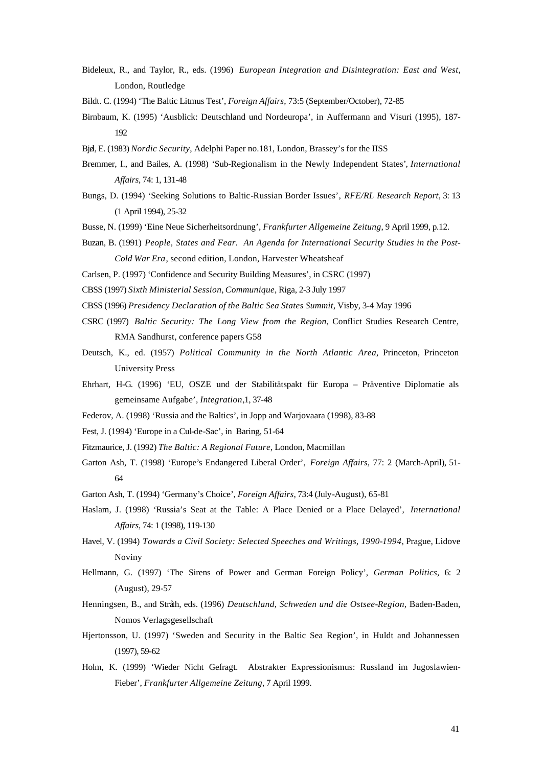- Bideleux, R., and Taylor, R., eds. (1996) *European Integration and Disintegration: East and West*, London, Routledge
- Bildt. C. (1994) 'The Baltic Litmus Test', *Foreign Affairs,* 73:5 (September/October), 72-85
- Birnbaum, K. (1995) 'Ausblick: Deutschland und Nordeuropa', in Auffermann and Visuri (1995), 187- 192
- Bjøl, E. (1983) *Nordic Security*, Adelphi Paper no.181, London, Brassey's for the IISS
- Bremmer, I., and Bailes, A. (1998) 'Sub-Regionalism in the Newly Independent States', *International Affairs*, 74: 1, 131-48
- Bungs, D. (1994) 'Seeking Solutions to Baltic-Russian Border Issues', *RFE/RL Research Report*, 3: 13 (1 April 1994), 25-32
- Busse, N. (1999) 'Eine Neue Sicherheitsordnung', *Frankfurter Allgemeine Zeitung*, 9 April 1999, p.12.
- Buzan, B. (1991) *People, States and Fear. An Agenda for International Security Studies in the Post-Cold War Era*, second edition, London, Harvester Wheatsheaf
- Carlsen, P. (1997) 'Confidence and Security Building Measures', in CSRC (1997)
- CBSS (1997) *Sixth Ministerial Session, Communique*, Riga, 2-3 July 1997
- CBSS (1996) *Presidency Declaration of the Baltic Sea States Summit*, Visby, 3-4 May 1996
- CSRC (1997) *Baltic Security: The Long View from the Region*, Conflict Studies Research Centre, RMA Sandhurst, conference papers G58
- Deutsch, K., ed. (1957) *Political Community in the North Atlantic Area*, Princeton, Princeton University Press
- Ehrhart, H-G. (1996) 'EU, OSZE und der Stabilitätspakt für Europa Präventive Diplomatie als gemeinsame Aufgabe', *Integration*,1, 37-48
- Federov, A. (1998) 'Russia and the Baltics', in Jopp and Warjovaara (1998), 83-88
- Fest, J. (1994) 'Europe in a Cul-de-Sac', in Baring, 51-64
- Fitzmaurice, J. (1992) *The Baltic: A Regional Future*, London, Macmillan
- Garton Ash, T. (1998) 'Europe's Endangered Liberal Order', *Foreign Affairs*, 77: 2 (March-April), 51- 64
- Garton Ash, T. (1994) 'Germany's Choice', *Foreign Affairs*, 73:4 (July-August), 65-81
- Haslam, J. (1998) 'Russia's Seat at the Table: A Place Denied or a Place Delayed', *International Affairs*, 74: 1 (1998), 119-130
- Havel, V. (1994) *Towards a Civil Society: Selected Speeches and Writings, 1990-1994*, Prague, Lidove Noviny
- Hellmann, G. (1997) 'The Sirens of Power and German Foreign Policy', *German Politics*, 6: 2 (August), 29-57
- Henningsen, B., and Stråth, eds. (1996) *Deutschland, Schweden und die Ostsee-Region*, Baden-Baden, Nomos Verlagsgesellschaft
- Hjertonsson, U. (1997) 'Sweden and Security in the Baltic Sea Region', in Huldt and Johannessen (1997), 59-62
- Holm, K. (1999) 'Wieder Nicht Gefragt. Abstrakter Expressionismus: Russland im Jugoslawien-Fieber', *Frankfurter Allgemeine Zeitung*, 7 April 1999.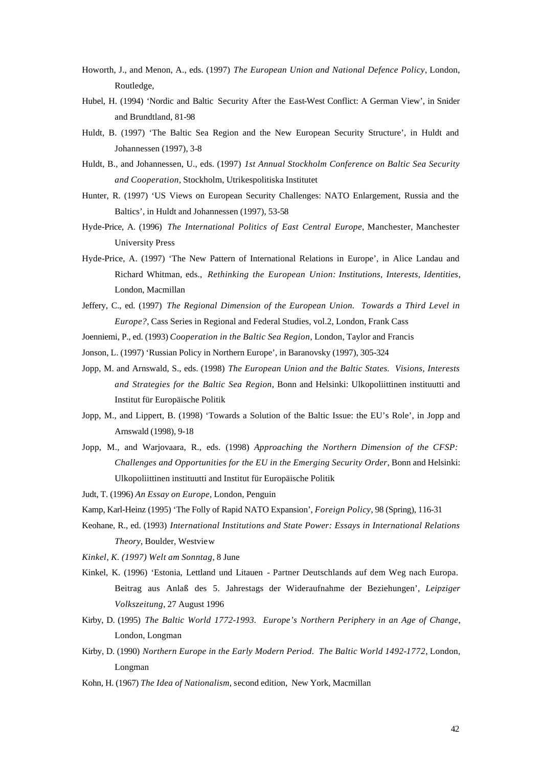- Howorth, J., and Menon, A., eds. (1997) *The European Union and National Defence Policy*, London, Routledge,
- Hubel, H. (1994) 'Nordic and Baltic Security After the East-West Conflict: A German View', in Snider and Brundtland, 81-98
- Huldt, B. (1997) 'The Baltic Sea Region and the New European Security Structure', in Huldt and Johannessen (1997), 3-8
- Huldt, B., and Johannessen, U., eds. (1997) *1st Annual Stockholm Conference on Baltic Sea Security and Cooperation*, Stockholm, Utrikespolitiska Institutet
- Hunter, R. (1997) 'US Views on European Security Challenges: NATO Enlargement, Russia and the Baltics', in Huldt and Johannessen (1997), 53-58
- Hyde-Price, A. (1996) *The International Politics of East Central Europe*, Manchester, Manchester University Press
- Hyde-Price, A. (1997) 'The New Pattern of International Relations in Europe', in Alice Landau and Richard Whitman, eds., *Rethinking the European Union: Institutions, Interests, Identities*, London, Macmillan
- Jeffery, C., ed. (1997) *The Regional Dimension of the European Union. Towards a Third Level in Europe?*, Cass Series in Regional and Federal Studies, vol.2, London, Frank Cass
- Joenniemi, P., ed. (1993) *Cooperation in the Baltic Sea Region*, London, Taylor and Francis
- Jonson, L. (1997) 'Russian Policy in Northern Europe', in Baranovsky (1997), 305-324
- Jopp, M. and Arnswald, S., eds. (1998) *The European Union and the Baltic States. Visions, Interests and Strategies for the Baltic Sea Region*, Bonn and Helsinki: Ulkopoliittinen instituutti and Institut für Europäische Politik
- Jopp, M., and Lippert, B. (1998) 'Towards a Solution of the Baltic Issue: the EU's Role', in Jopp and Arnswald (1998), 9-18
- Jopp, M., and Warjovaara, R., eds. (1998) *Approaching the Northern Dimension of the CFSP: Challenges and Opportunities for the EU in the Emerging Security Order*, Bonn and Helsinki: Ulkopoliittinen instituutti and Institut für Europäische Politik
- Judt, T. (1996) *An Essay on Europe*, London, Penguin
- Kamp, Karl-Heinz (1995) 'The Folly of Rapid NATO Expansion', *Foreign Policy*, 98 (Spring), 116-31
- Keohane, R., ed. (1993) *International Institutions and State Power: Essays in International Relations Theory*, Boulder, Westview
- *Kinkel, K. (1997) Welt am Sonntag*, 8 June
- Kinkel, K. (1996) 'Estonia, Lettland und Litauen Partner Deutschlands auf dem Weg nach Europa. Beitrag aus Anlaß des 5. Jahrestags der Wideraufnahme der Beziehungen', *Leipziger Volkszeitung*, 27 August 1996
- Kirby, D. (1995) *The Baltic World 1772-1993. Europe's Northern Periphery in an Age of Change*, London, Longman
- Kirby, D. (1990) *Northern Europe in the Early Modern Period. The Baltic World 1492-1772*, London, Longman
- Kohn, H. (1967) *The Idea of Nationalism*, second edition, New York, Macmillan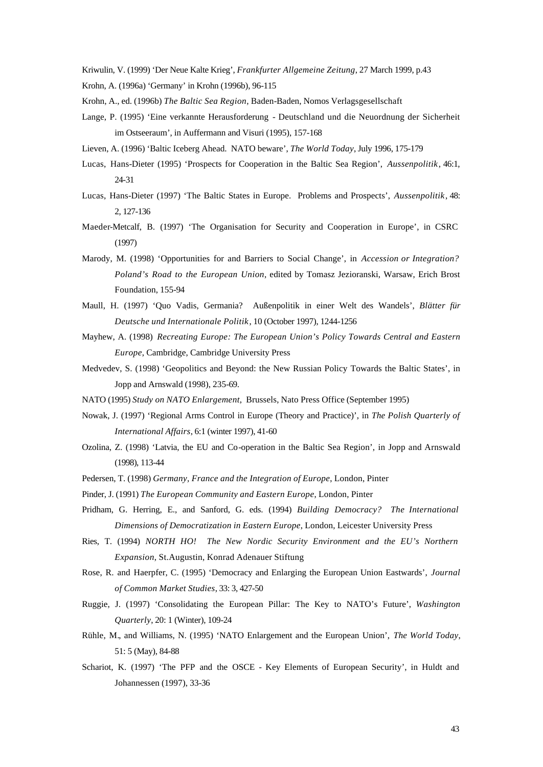Kriwulin, V. (1999) 'Der Neue Kalte Krieg', *Frankfurter Allgemeine Zeitung*, 27 March 1999, p.43

- Krohn, A. (1996a) 'Germany' in Krohn (1996b), 96-115
- Krohn, A., ed. (1996b) *The Baltic Sea Region*, Baden-Baden, Nomos Verlagsgesellschaft
- Lange, P. (1995) 'Eine verkannte Herausforderung Deutschland und die Neuordnung der Sicherheit im Ostseeraum', in Auffermann and Visuri (1995), 157-168
- Lieven, A. (1996) 'Baltic Iceberg Ahead. NATO beware', *The World Today*, July 1996, 175-179
- Lucas, Hans-Dieter (1995) 'Prospects for Cooperation in the Baltic Sea Region', *Aussenpolitik*, 46:1, 24-31
- Lucas, Hans-Dieter (1997) 'The Baltic States in Europe. Problems and Prospects', *Aussenpolitik*, 48: 2, 127-136
- Maeder-Metcalf, B. (1997) 'The Organisation for Security and Cooperation in Europe', in CSRC (1997)
- Marody, M. (1998) 'Opportunities for and Barriers to Social Change', in *Accession or Integration? Poland's Road to the European Union*, edited by Tomasz Jezioranski, Warsaw, Erich Brost Foundation, 155-94
- Maull, H. (1997) 'Quo Vadis, Germania? Außenpolitik in einer Welt des Wandels', *Blätter für Deutsche und Internationale Politik*, 10 (October 1997), 1244-1256
- Mayhew, A. (1998) *Recreating Europe: The European Union's Policy Towards Central and Eastern Europe*, Cambridge, Cambridge University Press
- Medvedev, S. (1998) 'Geopolitics and Beyond: the New Russian Policy Towards the Baltic States', in Jopp and Arnswald (1998), 235-69.
- NATO (1995) *Study on NATO Enlargement*, Brussels, Nato Press Office (September 1995)
- Nowak, J. (1997) 'Regional Arms Control in Europe (Theory and Practice)', in *The Polish Quarterly of International Affairs*, 6:1 (winter 1997), 41-60
- Ozolina, Z. (1998) 'Latvia, the EU and Co-operation in the Baltic Sea Region', in Jopp and Arnswald (1998), 113-44
- Pedersen, T. (1998) *Germany, France and the Integration of Europe*, London, Pinter
- Pinder, J. (1991) *The European Community and Eastern Europe*, London, Pinter
- Pridham, G. Herring, E., and Sanford, G. eds. (1994) *Building Democracy? The International Dimensions of Democratization in Eastern Europe*, London, Leicester University Press
- Ries, T. (1994) *NORTH HO! The New Nordic Security Environment and the EU's Northern Expansion*, St.Augustin, Konrad Adenauer Stiftung
- Rose, R. and Haerpfer, C. (1995) 'Democracy and Enlarging the European Union Eastwards', *Journal of Common Market Studies*, 33: 3, 427-50
- Ruggie, J. (1997) 'Consolidating the European Pillar: The Key to NATO's Future', *Washington Quarterly*, 20: 1 (Winter), 109-24
- Rühle, M., and Williams, N. (1995) 'NATO Enlargement and the European Union', *The World Today*, 51: 5 (May), 84-88
- Schariot, K. (1997) 'The PFP and the OSCE Key Elements of European Security', in Huldt and Johannessen (1997), 33-36